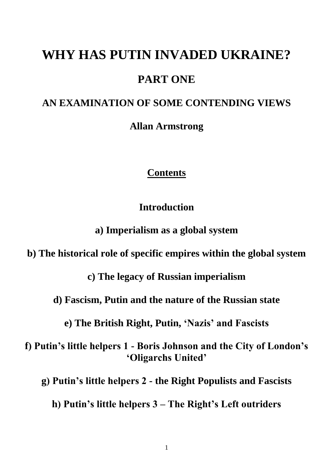# **WHY HAS PUTIN INVADED UKRAINE? PART ONE**

#### **AN EXAMINATION OF SOME CONTENDING VIEWS**

**Allan Armstrong**

#### **Contents**

**Introduction**

**a) Imperialism as a global system**

**b) The historical role of specific empires within the global system**

**c) The legacy of Russian imperialism**

**d) Fascism, Putin and the nature of the Russian state**

**e) The British Right, Putin, 'Nazis' and Fascists**

#### **f) Putin's little helpers 1 - Boris Johnson and the City of London's 'Oligarchs United'**

**g) Putin's little helpers 2 - the Right Populists and Fascists**

**h) Putin's little helpers 3 – The Right's Left outriders**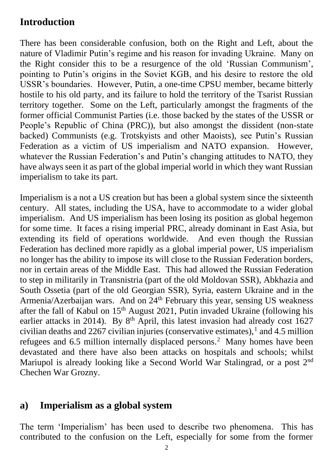#### **Introduction**

There has been considerable confusion, both on the Right and Left, about the nature of Vladimir Putin's regime and his reason for invading Ukraine. Many on the Right consider this to be a resurgence of the old 'Russian Communism', pointing to Putin's origins in the Soviet KGB, and his desire to restore the old USSR's boundaries. However, Putin, a one-time CPSU member, became bitterly hostile to his old party, and its failure to hold the territory of the Tsarist Russian territory together. Some on the Left, particularly amongst the fragments of the former official Communist Parties (i.e. those backed by the states of the USSR or People's Republic of China (PRC)), but also amongst the dissident (non-state backed) Communists (e.g. Trotskyists and other Maoists), see Putin's Russian Federation as a victim of US imperialism and NATO expansion. However, whatever the Russian Federation's and Putin's changing attitudes to NATO, they have always seen it as part of the global imperial world in which they want Russian imperialism to take its part.

Imperialism is a not a US creation but has been a global system since the sixteenth century. All states, including the USA, have to accommodate to a wider global imperialism. And US imperialism has been losing its position as global hegemon for some time. It faces a rising imperial PRC, already dominant in East Asia, but extending its field of operations worldwide. And even though the Russian Federation has declined more rapidly as a global imperial power, US imperialism no longer has the ability to impose its will close to the Russian Federation borders, nor in certain areas of the Middle East. This had allowed the Russian Federation to step in militarily in Transnistria (part of the old Moldovan SSR), Abkhazia and South Ossetia (part of the old Georgian SSR), Syria, eastern Ukraine and in the Armenia/Azerbaijan wars. And on 24<sup>th</sup> February this year, sensing US weakness after the fall of Kabul on 15th August 2021, Putin invaded Ukraine (following his earlier attacks in 2014). By  $8<sup>th</sup>$  April, this latest invasion had already cost 1627 civilian deaths and 2267 civilian injuries (conservative estimates),  $1$  and 4.5 million refugees and 6.5 million internally displaced persons.<sup>2</sup> Many homes have been devastated and there have also been attacks on hospitals and schools; whilst Mariupol is already looking like a Second World War Stalingrad, or a post 2<sup>nd</sup> Chechen War Grozny.

#### **a) Imperialism as a global system**

The term 'Imperialism' has been used to describe two phenomena. This has contributed to the confusion on the Left, especially for some from the former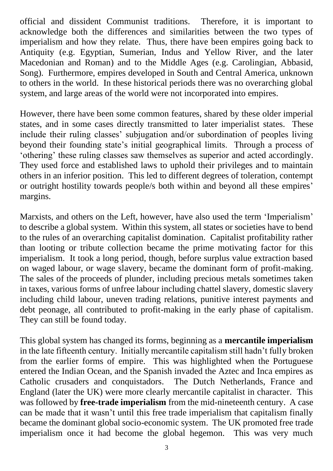official and dissident Communist traditions. Therefore, it is important to acknowledge both the differences and similarities between the two types of imperialism and how they relate. Thus, there have been empires going back to Antiquity (e.g. Egyptian, Sumerian, Indus and Yellow River, and the later Macedonian and Roman) and to the Middle Ages (e.g. Carolingian, Abbasid, Song). Furthermore, empires developed in South and Central America, unknown to others in the world. In these historical periods there was no overarching global system, and large areas of the world were not incorporated into empires.

However, there have been some common features, shared by these older imperial states, and in some cases directly transmitted to later imperialist states. These include their ruling classes' subjugation and/or subordination of peoples living beyond their founding state's initial geographical limits. Through a process of 'othering' these ruling classes saw themselves as superior and acted accordingly. They used force and established laws to uphold their privileges and to maintain others in an inferior position. This led to different degrees of toleration, contempt or outright hostility towards people/s both within and beyond all these empires' margins.

Marxists, and others on the Left, however, have also used the term 'Imperialism' to describe a global system. Within this system, all states or societies have to bend to the rules of an overarching capitalist domination. Capitalist profitability rather than looting or tribute collection became the prime motivating factor for this imperialism. It took a long period, though, before surplus value extraction based on waged labour, or wage slavery, became the dominant form of profit-making. The sales of the proceeds of plunder, including precious metals sometimes taken in taxes, various forms of unfree labour including chattel slavery, domestic slavery including child labour, uneven trading relations, punitive interest payments and debt peonage, all contributed to profit-making in the early phase of capitalism. They can still be found today.

This global system has changed its forms, beginning as a **mercantile imperialism** in the late fifteenth century. Initially mercantile capitalism still hadn't fully broken from the earlier forms of empire. This was highlighted when the Portuguese entered the Indian Ocean, and the Spanish invaded the Aztec and Inca empires as Catholic crusaders and conquistadors. The Dutch Netherlands, France and England (later the UK) were more clearly mercantile capitalist in character. This was followed by **free-trade imperialism** from the mid-nineteenth century. A case can be made that it wasn't until this free trade imperialism that capitalism finally became the dominant global socio-economic system. The UK promoted free trade imperialism once it had become the global hegemon. This was very much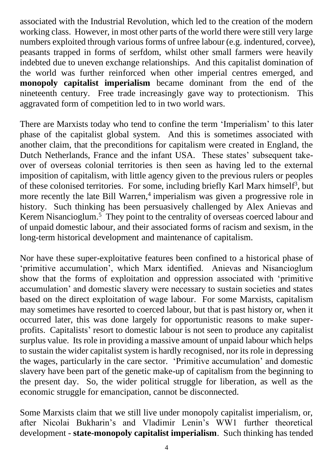associated with the Industrial Revolution, which led to the creation of the modern working class. However, in most other parts of the world there were still very large numbers exploited through various forms of unfree labour (e.g. indentured, corvee), peasants trapped in forms of serfdom, whilst other small farmers were heavily indebted due to uneven exchange relationships. And this capitalist domination of the world was further reinforced when other imperial centres emerged, and **monopoly capitalist imperialism** became dominant from the end of the nineteenth century. Free trade increasingly gave way to protectionism. This aggravated form of competition led to in two world wars.

There are Marxists today who tend to confine the term 'Imperialism' to this later phase of the capitalist global system. And this is sometimes associated with another claim, that the preconditions for capitalism were created in England, the Dutch Netherlands, France and the infant USA. These states' subsequent takeover of overseas colonial territories is then seen as having led to the external imposition of capitalism, with little agency given to the previous rulers or peoples of these colonised territories. For some, including briefly Karl Marx himself<sup>3</sup>, but more recently the late Bill Warren,<sup>4</sup> imperialism was given a progressive role in history. Such thinking has been persuasively challenged by Alex Anievas and Kerem Nisancioglum. 5 They point to the centrality of overseas coerced labour and of unpaid domestic labour, and their associated forms of racism and sexism, in the long-term historical development and maintenance of capitalism.

Nor have these super-exploitative features been confined to a historical phase of 'primitive accumulation', which Marx identified. Anievas and Nisancioglum show that the forms of exploitation and oppression associated with 'primitive accumulation' and domestic slavery were necessary to sustain societies and states based on the direct exploitation of wage labour. For some Marxists, capitalism may sometimes have resorted to coerced labour, but that is past history or, when it occurred later, this was done largely for opportunistic reasons to make superprofits. Capitalists' resort to domestic labour is not seen to produce any capitalist surplus value. Its role in providing a massive amount of unpaid labour which helps to sustain the wider capitalist system is hardly recognised, nor its role in depressing the wages, particularly in the care sector. 'Primitive accumulation' and domestic slavery have been part of the genetic make-up of capitalism from the beginning to the present day. So, the wider political struggle for liberation, as well as the economic struggle for emancipation, cannot be disconnected.

Some Marxists claim that we still live under monopoly capitalist imperialism, or, after Nicolai Bukharin's and Vladimir Lenin's WW1 further theoretical development - **state-monopoly capitalist imperialism**. Such thinking has tended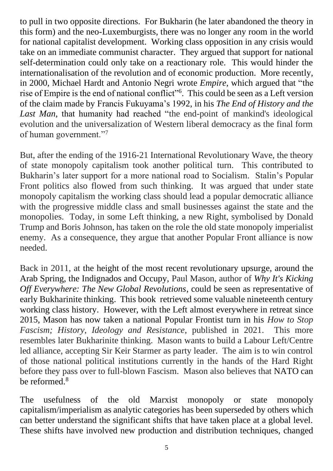to pull in two opposite directions. For Bukharin (he later abandoned the theory in this form) and the neo-Luxemburgists, there was no longer any room in the world for national capitalist development. Working class opposition in any crisis would take on an immediate communist character. They argued that support for national self-determination could only take on a reactionary role. This would hinder the internationalisation of the revolution and of economic production. More recently, in 2000, Michael Hardt and Antonio Negri wrote *Empire*, which argued that "the rise of Empire is the end of national conflict"<sup>6</sup> . This could be seen as a Left version of the claim made by Francis Fukuyama's 1992, in his *The End of History and the*  Last Man, that humanity had reached "the end-point of mankind's ideological evolution and the universalization of Western liberal democracy as the final form of human government."<sup>7</sup>

But, after the ending of the 1916-21 International Revolutionary Wave, the theory of state monopoly capitalism took another political turn. This contributed to Bukharin's later support for a more national road to Socialism. Stalin's Popular Front politics also flowed from such thinking. It was argued that under state monopoly capitalism the working class should lead a popular democratic alliance with the progressive middle class and small businesses against the state and the monopolies. Today, in some Left thinking, a new Right, symbolised by Donald Trump and Boris Johnson, has taken on the role the old state monopoly imperialist enemy. As a consequence, they argue that another Popular Front alliance is now needed.

Back in 2011, at the height of the most recent revolutionary upsurge, around the Arab Spring, the Indignados and Occupy, Paul Mason, author of *[Why It's Kicking](https://en.wikipedia.org/wiki/Why_It%27s_Kicking_Off_Everywhere:_The_New_Global_Revolutions)  [Off Everywhere: The New Global Revolutions](https://en.wikipedia.org/wiki/Why_It%27s_Kicking_Off_Everywhere:_The_New_Global_Revolutions)*, could be seen as representative of early Bukharinite thinking. This book retrieved some valuable nineteenth century working class history. However, with the Left almost everywhere in retreat since 2015, Mason has now taken a national Popular Frontist turn in his *How to Stop Fascism; History, Ideology and Resistance*, published in 2021. This more resembles later Bukharinite thinking. Mason wants to build a Labour Left/Centre led alliance, accepting Sir Keir Starmer as party leader. The aim is to win control of those national political institutions currently in the hands of the Hard Right before they pass over to full-blown Fascism. Mason also believes that NATO can be reformed.<sup>8</sup>

The usefulness of the old Marxist monopoly or state monopoly capitalism/imperialism as analytic categories has been superseded by others which can better understand the significant shifts that have taken place at a global level. These shifts have involved new production and distribution techniques, changed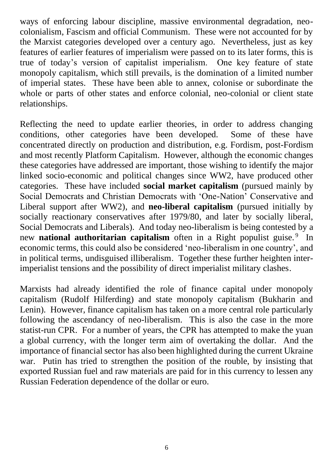ways of enforcing labour discipline, massive environmental degradation, neocolonialism, Fascism and official Communism. These were not accounted for by the Marxist categories developed over a century ago. Nevertheless, just as key features of earlier features of imperialism were passed on to its later forms, this is true of today's version of capitalist imperialism. One key feature of state monopoly capitalism, which still prevails, is the domination of a limited number of imperial states. These have been able to annex, colonise or subordinate the whole or parts of other states and enforce colonial, neo-colonial or client state relationships.

Reflecting the need to update earlier theories, in order to address changing conditions, other categories have been developed. Some of these have concentrated directly on production and distribution, e.g. Fordism, post-Fordism and most recently Platform Capitalism. However, although the economic changes these categories have addressed are important, those wishing to identify the major linked socio-economic and political changes since WW2, have produced other categories. These have included **social market capitalism** (pursued mainly by Social Democrats and Christian Democrats with 'One-Nation' Conservative and Liberal support after WW2), and **neo-liberal capitalism** (pursued initially by socially reactionary conservatives after 1979/80, and later by socially liberal, Social Democrats and Liberals). And today neo-liberalism is being contested by a new **national authoritarian capitalism** often in a Right populist guise.<sup>9</sup> In economic terms, this could also be considered 'neo-liberalism in one country', and in political terms, undisguised illiberalism. Together these further heighten interimperialist tensions and the possibility of direct imperialist military clashes.

Marxists had already identified the role of finance capital under monopoly capitalism (Rudolf Hilferding) and state monopoly capitalism (Bukharin and Lenin). However, finance capitalism has taken on a more central role particularly following the ascendancy of neo-liberalism. This is also the case in the more statist-run CPR. For a number of years, the CPR has attempted to make the yuan a global currency, with the longer term aim of overtaking the dollar. And the importance of financial sector has also been highlighted during the current Ukraine war. Putin has tried to strengthen the position of the rouble, by insisting that exported Russian fuel and raw materials are paid for in this currency to lessen any Russian Federation dependence of the dollar or euro.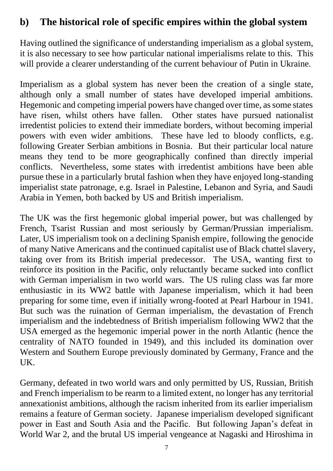# **b) The historical role of specific empires within the global system**

Having outlined the significance of understanding imperialism as a global system, it is also necessary to see how particular national imperialisms relate to this. This will provide a clearer understanding of the current behaviour of Putin in Ukraine.

Imperialism as a global system has never been the creation of a single state, although only a small number of states have developed imperial ambitions. Hegemonic and competing imperial powers have changed over time, as some states have risen, whilst others have fallen. Other states have pursued nationalist irredentist policies to extend their immediate borders, without becoming imperial powers with even wider ambitions. These have led to bloody conflicts, e.g. following Greater Serbian ambitions in Bosnia. But their particular local nature means they tend to be more geographically confined than directly imperial conflicts. Nevertheless, some states with irredentist ambitions have been able pursue these in a particularly brutal fashion when they have enjoyed long-standing imperialist state patronage, e.g. Israel in Palestine, Lebanon and Syria, and Saudi Arabia in Yemen, both backed by US and British imperialism.

The UK was the first hegemonic global imperial power, but was challenged by French, Tsarist Russian and most seriously by German/Prussian imperialism. Later, US imperialism took on a declining Spanish empire, following the genocide of many Native Americans and the continued capitalist use of Black chattel slavery, taking over from its British imperial predecessor. The USA, wanting first to reinforce its position in the Pacific, only reluctantly became sucked into conflict with German imperialism in two world wars. The US ruling class was far more enthusiastic in its WW2 battle with Japanese imperialism, which it had been preparing for some time, even if initially wrong-footed at Pearl Harbour in 1941. But such was the ruination of German imperialism, the devastation of French imperialism and the indebtedness of British imperialism following WW2 that the USA emerged as the hegemonic imperial power in the north Atlantic (hence the centrality of NATO founded in 1949), and this included its domination over Western and Southern Europe previously dominated by Germany, France and the UK.

Germany, defeated in two world wars and only permitted by US, Russian, British and French imperialism to be rearm to a limited extent, no longer has any territorial annexationist ambitions, although the racism inherited from its earlier imperialism remains a feature of German society. Japanese imperialism developed significant power in East and South Asia and the Pacific. But following Japan's defeat in World War 2, and the brutal US imperial vengeance at Nagaski and Hiroshima in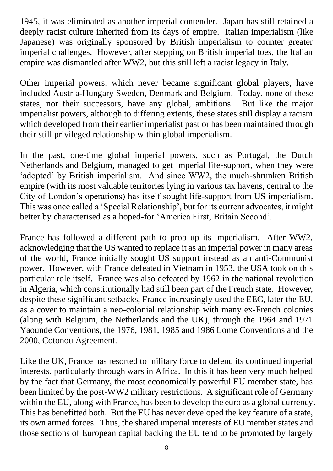1945, it was eliminated as another imperial contender. Japan has still retained a deeply racist culture inherited from its days of empire. Italian imperialism (like Japanese) was originally sponsored by British imperialism to counter greater imperial challenges. However, after stepping on British imperial toes, the Italian empire was dismantled after WW2, but this still left a racist legacy in Italy.

Other imperial powers, which never became significant global players, have included Austria-Hungary Sweden, Denmark and Belgium. Today, none of these states, nor their successors, have any global, ambitions. But like the major imperialist powers, although to differing extents, these states still display a racism which developed from their earlier imperialist past or has been maintained through their still privileged relationship within global imperialism.

In the past, one-time global imperial powers, such as Portugal, the Dutch Netherlands and Belgium, managed to get imperial life-support, when they were 'adopted' by British imperialism. And since WW2, the much-shrunken British empire (with its most valuable territories lying in various tax havens, central to the City of London's operations) has itself sought life-support from US imperialism. This was once called a 'Special Relationship', but for its current advocates, it might better by characterised as a hoped-for 'America First, Britain Second'.

France has followed a different path to prop up its imperialism. After WW2, acknowledging that the US wanted to replace it as an imperial power in many areas of the world, France initially sought US support instead as an anti-Communist power. However, with France defeated in Vietnam in 1953, the USA took on this particular role itself. France was also defeated by 1962 in the national revolution in Algeria, which constitutionally had still been part of the French state. However, despite these significant setbacks, France increasingly used the EEC, later the EU, as a cover to maintain a neo-colonial relationship with many ex-French colonies (along with Belgium, the Netherlands and the UK), through the 1964 and 1971 Yaounde Conventions, the 1976, 1981, 1985 and 1986 Lome Conventions and the 2000, Cotonou Agreement.

Like the UK, France has resorted to military force to defend its continued imperial interests, particularly through wars in Africa. In this it has been very much helped by the fact that Germany, the most economically powerful EU member state, has been limited by the post-WW2 military restrictions. A significant role of Germany within the EU, along with France, has been to develop the euro as a global currency. This has benefitted both. But the EU has never developed the key feature of a state, its own armed forces. Thus, the shared imperial interests of EU member states and those sections of European capital backing the EU tend to be promoted by largely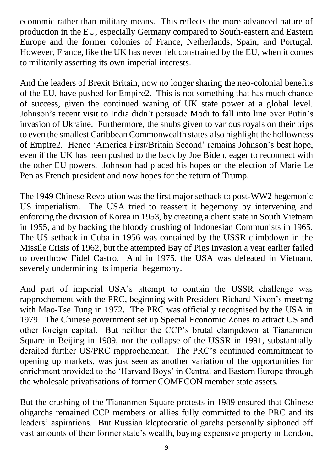economic rather than military means. This reflects the more advanced nature of production in the EU, especially Germany compared to South-eastern and Eastern Europe and the former colonies of France, Netherlands, Spain, and Portugal. However, France, like the UK has never felt constrained by the EU, when it comes to militarily asserting its own imperial interests.

And the leaders of Brexit Britain, now no longer sharing the neo-colonial benefits of the EU, have pushed for Empire2. This is not something that has much chance of success, given the continued waning of UK state power at a global level. Johnson's recent visit to India didn't persuade Modi to fall into line over Putin's invasion of Ukraine. Furthermore, the snubs given to various royals on their trips to even the smallest Caribbean Commonwealth states also highlight the hollowness of Empire2. Hence 'America First/Britain Second' remains Johnson's best hope, even if the UK has been pushed to the back by Joe Biden, eager to reconnect with the other EU powers. Johnson had placed his hopes on the election of Marie Le Pen as French president and now hopes for the return of Trump.

The 1949 Chinese Revolution was the first major setback to post-WW2 hegemonic US imperialism. The USA tried to reassert it hegemony by intervening and enforcing the division of Korea in 1953, by creating a client state in South Vietnam in 1955, and by backing the bloody crushing of Indonesian Communists in 1965. The US setback in Cuba in 1956 was contained by the USSR climbdown in the Missile Crisis of 1962, but the attempted Bay of Pigs invasion a year earlier failed to overthrow Fidel Castro. And in 1975, the USA was defeated in Vietnam, severely undermining its imperial hegemony.

And part of imperial USA's attempt to contain the USSR challenge was rapprochement with the PRC, beginning with President Richard Nixon's meeting with Mao-Tse Tung in 1972. The PRC was officially recognised by the USA in 1979. The Chinese government set up Special Economic Zones to attract US and other foreign capital. But neither the CCP's brutal clampdown at Tiananmen Square in Beijing in 1989, nor the collapse of the USSR in 1991, substantially derailed further US/PRC rapprochement. The PRC's continued commitment to opening up markets, was just seen as another variation of the opportunities for enrichment provided to the 'Harvard Boys' in Central and Eastern Europe through the wholesale privatisations of former COMECON member state assets.

But the crushing of the Tiananmen Square protests in 1989 ensured that Chinese oligarchs remained CCP members or allies fully committed to the PRC and its leaders' aspirations. But Russian kleptocratic oligarchs personally siphoned off vast amounts of their former state's wealth, buying expensive property in London,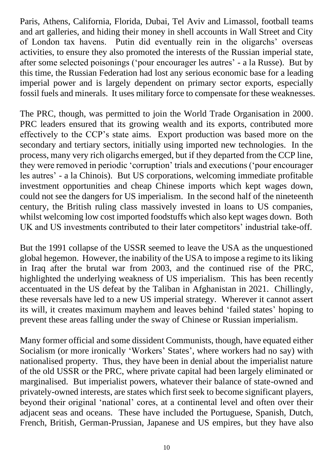Paris, Athens, California, Florida, Dubai, Tel Aviv and Limassol, football teams and art galleries, and hiding their money in shell accounts in Wall Street and City of London tax havens. Putin did eventually rein in the oligarchs' overseas activities, to ensure they also promoted the interests of the Russian imperial state, after some selected poisonings ('pour encourager les autres' - a la Russe). But by this time, the Russian Federation had lost any serious economic base for a leading imperial power and is largely dependent on primary sector exports, especially fossil fuels and minerals. It uses military force to compensate for these weaknesses.

The PRC, though, was permitted to join the World Trade Organisation in 2000. PRC leaders ensured that its growing wealth and its exports, contributed more effectively to the CCP's state aims. Export production was based more on the secondary and tertiary sectors, initially using imported new technologies. In the process, many very rich oligarchs emerged, but if they departed from the CCP line, they were removed in periodic 'corruption' trials and executions ('pour encourager les autres' - a la Chinois). But US corporations, welcoming immediate profitable investment opportunities and cheap Chinese imports which kept wages down, could not see the dangers for US imperialism. In the second half of the nineteenth century, the British ruling class massively invested in loans to US companies, whilst welcoming low cost imported foodstuffs which also kept wages down. Both UK and US investments contributed to their later competitors' industrial take-off.

But the 1991 collapse of the USSR seemed to leave the USA as the unquestioned global hegemon. However, the inability of the USA to impose a regime to its liking in Iraq after the brutal war from 2003, and the continued rise of the PRC, highlighted the underlying weakness of US imperialism. This has been recently accentuated in the US defeat by the Taliban in Afghanistan in 2021. Chillingly, these reversals have led to a new US imperial strategy. Wherever it cannot assert its will, it creates maximum mayhem and leaves behind 'failed states' hoping to prevent these areas falling under the sway of Chinese or Russian imperialism.

Many former official and some dissident Communists, though, have equated either Socialism (or more ironically 'Workers' States', where workers had no say) with nationalised property. Thus, they have been in denial about the imperialist nature of the old USSR or the PRC, where private capital had been largely eliminated or marginalised. But imperialist powers, whatever their balance of state-owned and privately-owned interests, are states which first seek to become significant players, beyond their original 'national' cores, at a continental level and often over their adjacent seas and oceans. These have included the Portuguese, Spanish, Dutch, French, British, German-Prussian, Japanese and US empires, but they have also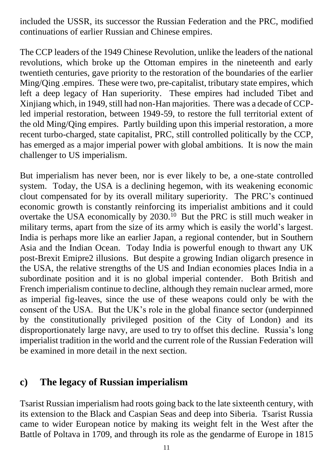included the USSR, its successor the Russian Federation and the PRC, modified continuations of earlier Russian and Chinese empires.

The CCP leaders of the 1949 Chinese Revolution, unlike the leaders of the national revolutions, which broke up the Ottoman empires in the nineteenth and early twentieth centuries, gave priority to the restoration of the boundaries of the earlier Ming/Qing .empires. These were two, pre-capitalist, tributary state empires, which left a deep legacy of Han superiority. These empires had included Tibet and Xinjiang which, in 1949, still had non-Han majorities. There was a decade of CCPled imperial restoration, between 1949-59, to restore the full territorial extent of the old Ming/Qing empires. Partly building upon this imperial restoration, a more recent turbo-charged, state capitalist, PRC, still controlled politically by the CCP, has emerged as a major imperial power with global ambitions. It is now the main challenger to US imperialism.

But imperialism has never been, nor is ever likely to be, a one-state controlled system. Today, the USA is a declining hegemon, with its weakening economic clout compensated for by its overall military superiority. The PRC's continued economic growth is constantly reinforcing its imperialist ambitions and it could overtake the USA economically by  $2030$ .<sup>10</sup> But the PRC is still much weaker in military terms, apart from the size of its army which is easily the world's largest. India is perhaps more like an earlier Japan, a regional contender, but in Southern Asia and the Indian Ocean. Today India is powerful enough to thwart any UK post-Brexit Emipre2 illusions. But despite a growing Indian oligarch presence in the USA, the relative strengths of the US and Indian economies places India in a subordinate position and it is no global imperial contender. Both British and French imperialism continue to decline, although they remain nuclear armed, more as imperial fig-leaves, since the use of these weapons could only be with the consent of the USA. But the UK's role in the global finance sector (underpinned by the constitutionally privileged position of the City of London) and its disproportionately large navy, are used to try to offset this decline. Russia's long imperialist tradition in the world and the current role of the Russian Federation will be examined in more detail in the next section.

# **c) The legacy of Russian imperialism**

Tsarist Russian imperialism had roots going back to the late sixteenth century, with its extension to the Black and Caspian Seas and deep into Siberia. Tsarist Russia came to wider European notice by making its weight felt in the West after the Battle of Poltava in 1709, and through its role as the gendarme of Europe in 1815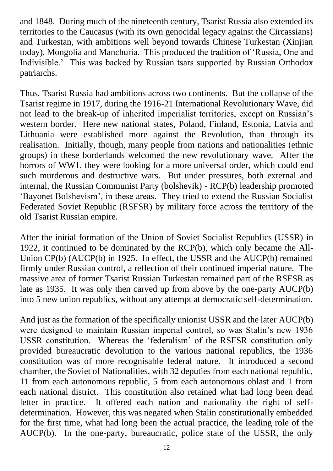and 1848. During much of the nineteenth century, Tsarist Russia also extended its territories to the Caucasus (with its own genocidal legacy against the Circassians) and Turkestan, with ambitions well beyond towards Chinese Turkestan (Xinjian today), Mongolia and Manchuria. This produced the tradition of 'Russia, One and Indivisible.' This was backed by Russian tsars supported by Russian Orthodox patriarchs.

Thus, Tsarist Russia had ambitions across two continents. But the collapse of the Tsarist regime in 1917, during the 1916-21 International Revolutionary Wave, did not lead to the break-up of inherited imperialist territories, except on Russian's western border. Here new national states, Poland, Finland, Estonia, Latvia and Lithuania were established more against the Revolution, than through its realisation. Initially, though, many people from nations and nationalities (ethnic groups) in these borderlands welcomed the new revolutionary wave. After the horrors of WW1, they were looking for a more universal order, which could end such murderous and destructive wars. But under pressures, both external and internal, the Russian Communist Party (bolshevik) - RCP(b) leadership promoted 'Bayonet Bolshevism', in these areas. They tried to extend the Russian Socialist Federated Soviet Republic (RSFSR) by military force across the territory of the old Tsarist Russian empire.

After the initial formation of the Union of Soviet Socialist Republics (USSR) in 1922, it continued to be dominated by the RCP(b), which only became the All-Union CP(b) (AUCP(b) in 1925. In effect, the USSR and the AUCP(b) remained firmly under Russian control, a reflection of their continued imperial nature. The massive area of former Tsarist Russian Turkestan remained part of the RSFSR as late as 1935. It was only then carved up from above by the one-party AUCP(b) into 5 new union republics, without any attempt at democratic self-determination.

And just as the formation of the specifically unionist USSR and the later AUCP(b) were designed to maintain Russian imperial control, so was Stalin's new 1936 USSR constitution. Whereas the 'federalism' of the RSFSR constitution only provided bureaucratic devolution to the various national republics, the 1936 constitution was of more recognisable federal nature. It introduced a second chamber, the Soviet of Nationalities, with 32 deputies from each national republic, 11 from each autonomous republic, 5 from each autonomous oblast and 1 from each national district. This constitution also retained what had long been dead letter in practice. It offered each nation and nationality the right of selfdetermination. However, this was negated when Stalin constitutionally embedded for the first time, what had long been the actual practice, the leading role of the AUCP(b). In the one-party, bureaucratic, police state of the USSR, the only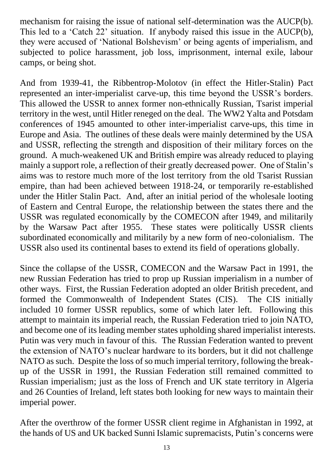mechanism for raising the issue of national self-determination was the AUCP(b). This led to a 'Catch 22' situation. If anybody raised this issue in the AUCP(b), they were accused of 'National Bolshevism' or being agents of imperialism, and subjected to police harassment, job loss, imprisonment, internal exile, labour camps, or being shot.

And from 1939-41, the Ribbentrop-Molotov (in effect the Hitler-Stalin) Pact represented an inter-imperialist carve-up, this time beyond the USSR's borders. This allowed the USSR to annex former non-ethnically Russian, Tsarist imperial territory in the west, until Hitler reneged on the deal. The WW2 Yalta and Potsdam conferences of 1945 amounted to other inter-imperialist carve-ups, this time in Europe and Asia. The outlines of these deals were mainly determined by the USA and USSR, reflecting the strength and disposition of their military forces on the ground. A much-weakened UK and British empire was already reduced to playing mainly a support role, a reflection of their greatly decreased power. One of Stalin's aims was to restore much more of the lost territory from the old Tsarist Russian empire, than had been achieved between 1918-24, or temporarily re-established under the Hitler Stalin Pact. And, after an initial period of the wholesale looting of Eastern and Central Europe, the relationship between the states there and the USSR was regulated economically by the COMECON after 1949, and militarily by the Warsaw Pact after 1955. These states were politically USSR clients subordinated economically and militarily by a new form of neo-colonialism. The USSR also used its continental bases to extend its field of operations globally.

Since the collapse of the USSR, COMECON and the Warsaw Pact in 1991, the new Russian Federation has tried to prop up Russian imperialism in a number of other ways. First, the Russian Federation adopted an older British precedent, and formed the Commonwealth of Independent States (CIS). The CIS initially included 10 former USSR republics, some of which later left. Following this attempt to maintain its imperial reach, the Russian Federation tried to join NATO, and become one of its leading member states upholding shared imperialist interests. Putin was very much in favour of this. The Russian Federation wanted to prevent the extension of NATO's nuclear hardware to its borders, but it did not challenge NATO as such. Despite the loss of so much imperial territory, following the breakup of the USSR in 1991, the Russian Federation still remained committed to Russian imperialism; just as the loss of French and UK state territory in Algeria and 26 Counties of Ireland, left states both looking for new ways to maintain their imperial power.

After the overthrow of the former USSR client regime in Afghanistan in 1992, at the hands of US and UK backed Sunni Islamic supremacists, Putin's concerns were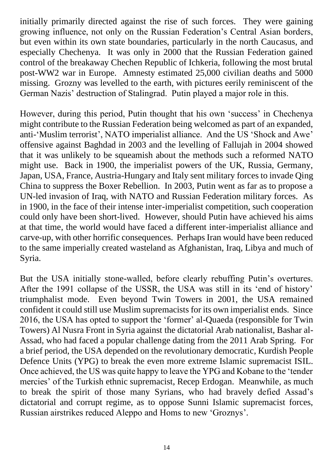initially primarily directed against the rise of such forces. They were gaining growing influence, not only on the Russian Federation's Central Asian borders, but even within its own state boundaries, particularly in the north Caucasus, and especially Chechenya. It was only in 2000 that the Russian Federation gained control of the breakaway Chechen Republic of Ichkeria, following the most brutal post-WW2 war in Europe. Amnesty estimated 25,000 civilian deaths and 5000 missing. Grozny was levelled to the earth, with pictures eerily reminiscent of the German Nazis' destruction of Stalingrad. Putin played a major role in this.

However, during this period, Putin thought that his own 'success' in Chechenya might contribute to the Russian Federation being welcomed as part of an expanded, anti-'Muslim terrorist', NATO imperialist alliance. And the US 'Shock and Awe' offensive against Baghdad in 2003 and the levelling of Fallujah in 2004 showed that it was unlikely to be squeamish about the methods such a reformed NATO might use. Back in 1900, the imperialist powers of the UK, Russia, Germany, Japan, USA, France, Austria-Hungary and Italy sent military forces to invade Qing China to suppress the Boxer Rebellion. In 2003, Putin went as far as to propose a UN-led invasion of Iraq, with NATO and Russian Federation military forces. As in 1900, in the face of their intense inter-imperialist competition, such cooperation could only have been short-lived. However, should Putin have achieved his aims at that time, the world would have faced a different inter-imperialist alliance and carve-up, with other horrific consequences. Perhaps Iran would have been reduced to the same imperially created wasteland as Afghanistan, Iraq, Libya and much of Syria.

But the USA initially stone-walled, before clearly rebuffing Putin's overtures. After the 1991 collapse of the USSR, the USA was still in its 'end of history' triumphalist mode. Even beyond Twin Towers in 2001, the USA remained confident it could still use Muslim supremacists for its own imperialist ends. Since 2016, the USA has opted to support the 'former' al-Quaeda (responsible for Twin Towers) Al Nusra Front in Syria against the dictatorial Arab nationalist, Bashar al-Assad, who had faced a popular challenge dating from the 2011 Arab Spring. For a brief period, the USA depended on the revolutionary democratic, Kurdish People Defence Units (YPG) to break the even more extreme Islamic supremacist ISIL. Once achieved, the US was quite happy to leave the YPG and Kobane to the 'tender mercies' of the Turkish ethnic supremacist, Recep Erdogan. Meanwhile, as much to break the spirit of those many Syrians, who had bravely defied Assad's dictatorial and corrupt regime, as to oppose Sunni Islamic supremacist forces, Russian airstrikes reduced Aleppo and Homs to new 'Groznys'.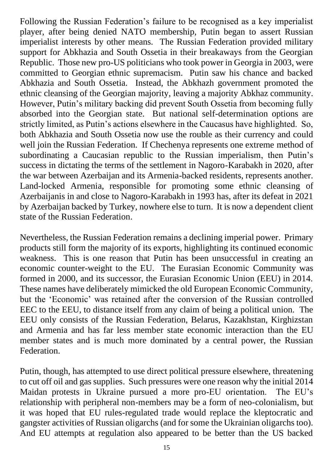Following the Russian Federation's failure to be recognised as a key imperialist player, after being denied NATO membership, Putin began to assert Russian imperialist interests by other means. The Russian Federation provided military support for Abkhazia and South Ossetia in their breakaways from the Georgian Republic. Those new pro-US politicians who took power in Georgia in 2003, were committed to Georgian ethnic supremacism. Putin saw his chance and backed Abkhazia and South Ossetia. Instead, the Abkhazh government promoted the ethnic cleansing of the Georgian majority, leaving a majority Abkhaz community. However, Putin's military backing did prevent South Ossetia from becoming fully absorbed into the Georgian state. But national self-determination options are strictly limited, as Putin's actions elsewhere in the Caucasus have highlighted. So, both Abkhazia and South Ossetia now use the rouble as their currency and could well join the Russian Federation. If Chechenya represents one extreme method of subordinating a Caucasian republic to the Russian imperialism, then Putin's success in dictating the terms of the settlement in Nagoro-Karabakh in 2020, after the war between Azerbaijan and its Armenia-backed residents, represents another. Land-locked Armenia, responsible for promoting some ethnic cleansing of Azerbaijanis in and close to Nagoro-Karabakh in 1993 has, after its defeat in 2021 by Azerbaijan backed by Turkey, nowhere else to turn. It is now a dependent client state of the Russian Federation.

Nevertheless, the Russian Federation remains a declining imperial power. Primary products still form the majority of its exports, highlighting its continued economic weakness. This is one reason that Putin has been unsuccessful in creating an economic counter-weight to the EU. The Eurasian Economic Community was formed in 2000, and its successor, the Eurasian Economic Union (EEU) in 2014. These names have deliberately mimicked the old European Economic Community, but the 'Economic' was retained after the conversion of the Russian controlled EEC to the EEU, to distance itself from any claim of being a political union. The EEU only consists of the Russian Federation, Belarus, Kazakhstan, Kirghizstan and Armenia and has far less member state economic interaction than the EU member states and is much more dominated by a central power, the Russian Federation.

Putin, though, has attempted to use direct political pressure elsewhere, threatening to cut off oil and gas supplies. Such pressures were one reason why the initial 2014 Maidan protests in Ukraine pursued a more pro-EU orientation. The EU's relationship with peripheral non-members may be a form of neo-colonialism, but it was hoped that EU rules-regulated trade would replace the kleptocratic and gangster activities of Russian oligarchs (and for some the Ukrainian oligarchs too). And EU attempts at regulation also appeared to be better than the US backed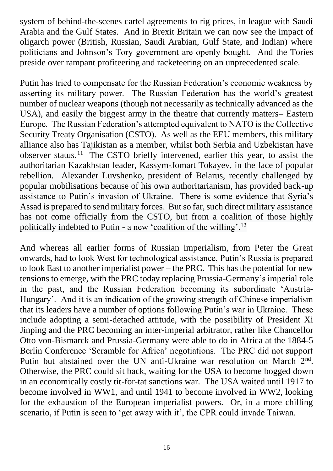system of behind-the-scenes cartel agreements to rig prices, in league with Saudi Arabia and the Gulf States. And in Brexit Britain we can now see the impact of oligarch power (British, Russian, Saudi Arabian, Gulf State, and Indian) where politicians and Johnson's Tory government are openly bought. And the Tories preside over rampant profiteering and racketeering on an unprecedented scale.

Putin has tried to compensate for the Russian Federation's economic weakness by asserting its military power. The Russian Federation has the world's greatest number of nuclear weapons (though not necessarily as technically advanced as the USA), and easily the biggest army in the theatre that currently matters– Eastern Europe. The Russian Federation's attempted equivalent to NATO is the Collective Security Treaty Organisation (CSTO). As well as the EEU members, this military alliance also has Tajikistan as a member, whilst both Serbia and Uzbekistan have observer status.<sup>11</sup> The CSTO briefly intervened, earlier this year, to assist the authoritarian Kazakhstan leader, Kassym-Jomart Tokayev, in the face of popular rebellion. Alexander Luvshenko, president of Belarus, recently challenged by popular mobilisations because of his own authoritarianism, has provided back-up assistance to Putin's invasion of Ukraine. There is some evidence that Syria's Assad is prepared to send military forces. But so far, such direct military assistance has not come officially from the CSTO, but from a coalition of those highly politically indebted to Putin - a new 'coalition of the willing'.<sup>12</sup>

And whereas all earlier forms of Russian imperialism, from Peter the Great onwards, had to look West for technological assistance, Putin's Russia is prepared to look East to another imperialist power – the PRC. This has the potential for new tensions to emerge, with the PRC today replacing Prussia-Germany's imperial role in the past, and the Russian Federation becoming its subordinate 'Austria-Hungary'. And it is an indication of the growing strength of Chinese imperialism that its leaders have a number of options following Putin's war in Ukraine. These include adopting a semi-detached attitude, with the possibility of President Xi Jinping and the PRC becoming an inter-imperial arbitrator, rather like Chancellor Otto von-Bismarck and Prussia-Germany were able to do in Africa at the 1884-5 Berlin Conference 'Scramble for Africa' negotiations. The PRC did not support Putin but abstained over the UN anti-Ukraine war resolution on March 2<sup>nd</sup>. Otherwise, the PRC could sit back, waiting for the USA to become bogged down in an economically costly tit-for-tat sanctions war. The USA waited until 1917 to become involved in WW1, and until 1941 to become involved in WW2, looking for the exhaustion of the European imperialist powers. Or, in a more chilling scenario, if Putin is seen to 'get away with it', the CPR could invade Taiwan.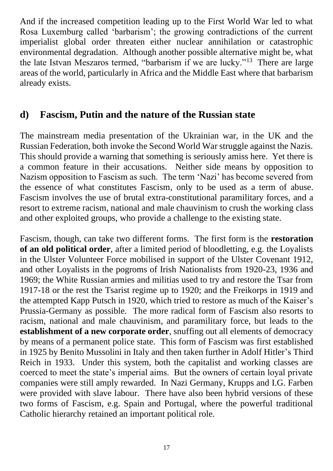And if the increased competition leading up to the First World War led to what Rosa Luxemburg called 'barbarism'; the growing contradictions of the current imperialist global order threaten either nuclear annihilation or catastrophic environmental degradation. Although another possible alternative might be, what the late Istvan Meszaros termed, "barbarism if we are lucky."<sup>13</sup> There are large areas of the world, particularly in Africa and the Middle East where that barbarism already exists.

#### **d) Fascism, Putin and the nature of the Russian state**

The mainstream media presentation of the Ukrainian war, in the UK and the Russian Federation, both invoke the Second World War struggle against the Nazis. This should provide a warning that something is seriously amiss here. Yet there is a common feature in their accusations. Neither side means by opposition to Nazism opposition to Fascism as such. The term 'Nazi' has become severed from the essence of what constitutes Fascism, only to be used as a term of abuse. Fascism involves the use of brutal extra-constitutional paramilitary forces, and a resort to extreme racism, national and male chauvinism to crush the working class and other exploited groups, who provide a challenge to the existing state.

Fascism, though, can take two different forms. The first form is the **restoration of an old political order**, after a limited period of bloodletting, e.g. the Loyalists in the Ulster Volunteer Force mobilised in support of the Ulster Covenant 1912, and other Loyalists in the pogroms of Irish Nationalists from 1920-23, 1936 and 1969; the White Russian armies and militias used to try and restore the Tsar from 1917-18 or the rest the Tsarist regime up to 1920; and the Freikorps in 1919 and the attempted Kapp Putsch in 1920, which tried to restore as much of the Kaiser's Prussia-Germany as possible. The more radical form of Fascism also resorts to racism, national and male chauvinism, and paramilitary force, but leads to the **establishment of a new corporate order**, snuffing out all elements of democracy by means of a permanent police state. This form of Fascism was first established in 1925 by Benito Mussolini in Italy and then taken further in Adolf Hitler's Third Reich in 1933. Under this system, both the capitalist and working classes are coerced to meet the state's imperial aims. But the owners of certain loyal private companies were still amply rewarded. In Nazi Germany, Krupps and I.G. Farben were provided with slave labour. There have also been hybrid versions of these two forms of Fascism, e.g. Spain and Portugal, where the powerful traditional Catholic hierarchy retained an important political role.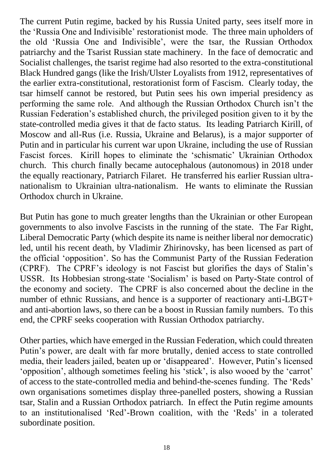The current Putin regime, backed by his Russia United party, sees itself more in the 'Russia One and Indivisible' restorationist mode. The three main upholders of the old 'Russia One and Indivisible', were the tsar, the Russian Orthodox patriarchy and the Tsarist Russian state machinery. In the face of democratic and Socialist challenges, the tsarist regime had also resorted to the extra-constitutional Black Hundred gangs (like the Irish/Ulster Loyalists from 1912, representatives of the earlier extra-constitutional, restorationist form of Fascism. Clearly today, the tsar himself cannot be restored, but Putin sees his own imperial presidency as performing the same role. And although the Russian Orthodox Church isn't the Russian Federation's established church, the privileged position given to it by the state-controlled media gives it that de facto status. Its leading Patriarch Kirill, of Moscow and all-Rus (i.e. Russia, Ukraine and Belarus), is a major supporter of Putin and in particular his current war upon Ukraine, including the use of Russian Fascist forces. Kirill hopes to eliminate the 'schismatic' Ukrainian Orthodox church. This church finally became autocephalous (autonomous) in 2018 under the equally reactionary, Patriarch Filaret. He transferred his earlier Russian ultranationalism to Ukrainian ultra-nationalism. He wants to eliminate the Russian Orthodox church in Ukraine.

But Putin has gone to much greater lengths than the Ukrainian or other European governments to also involve Fascists in the running of the state. The Far Right, Liberal Democratic Party (which despite its name is neither liberal nor democratic) led, until his recent death, by Vladimir Zhirinovsky, has been licensed as part of the official 'opposition'. So has the Communist Party of the Russian Federation (CPRF). The CPRF's ideology is not Fascist but glorifies the days of Stalin's USSR. Its Hobbesian strong-state 'Socialism' is based on Party-State control of the economy and society. The CPRF is also concerned about the decline in the number of ethnic Russians, and hence is a supporter of reactionary anti-LBGT+ and anti-abortion laws, so there can be a boost in Russian family numbers. To this end, the CPRF seeks cooperation with Russian Orthodox patriarchy.

Other parties, which have emerged in the Russian Federation, which could threaten Putin's power, are dealt with far more brutally, denied access to state controlled media, their leaders jailed, beaten up or 'disappeared'. However, Putin's licensed 'opposition', although sometimes feeling his 'stick', is also wooed by the 'carrot' of access to the state-controlled media and behind-the-scenes funding. The 'Reds' own organisations sometimes display three-panelled posters, showing a Russian tsar, Stalin and a Russian Orthodox patriarch. In effect the Putin regime amounts to an institutionalised 'Red'-Brown coalition, with the 'Reds' in a tolerated subordinate position.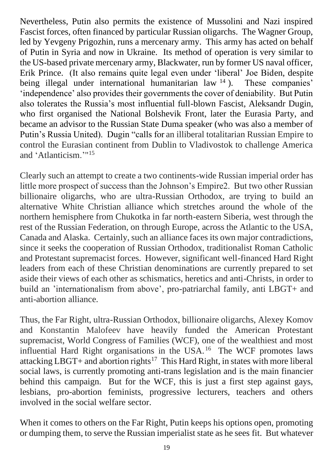Nevertheless, Putin also permits the existence of Mussolini and Nazi inspired Fascist forces, often financed by particular Russian oligarchs. The Wagner Group, led by Yevgeny Prigozhin, runs a mercenary army. This army has acted on behalf of Putin in Syria and now in Ukraine. Its method of operation is very similar to the US-based private mercenary army, Blackwater, run by former US naval officer, Erik Prince. (It also remains quite legal even under 'liberal' Joe Biden, despite being illegal under international humanitarian law <sup>14</sup>). These companies' 'independence' also provides their governments the cover of deniability. But Putin also tolerates the Russia's most influential full-blown Fascist, Aleksandr Dugin, who first organised the National Bolshevik Front, later the Eurasia Party, and became an advisor to the Russian State Duma speaker (who was also a member of Putin's Russia United). Dugin "calls for an illiberal totalitarian Russian Empire to control the Eurasian continent from Dublin to Vladivostok to challenge America and 'Atlanticism.'" 15

Clearly such an attempt to create a two continents-wide Russian imperial order has little more prospect of success than the Johnson's Empire2. But two other Russian billionaire oligarchs, who are ultra-Russian Orthodox, are trying to build an alternative White Christian alliance which stretches around the whole of the northern hemisphere from Chukotka in far north-eastern Siberia, west through the rest of the Russian Federation, on through Europe, across the Atlantic to the USA, Canada and Alaska. Certainly, such an alliance faces its own major contradictions, since it seeks the cooperation of Russian Orthodox, traditionalist Roman Catholic and Protestant supremacist forces. However, significant well-financed Hard Right leaders from each of these Christian denominations are currently prepared to set aside their views of each other as schismatics, heretics and anti-Christs, in order to build an 'internationalism from above', pro-patriarchal family, anti LBGT+ and anti-abortion alliance.

Thus, the Far Right, ultra-Russian Orthodox, billionaire oligarchs, Alexey Komov and Konstantin Malofeev have heavily funded the American Protestant supremacist, World Congress of Families (WCF), one of the wealthiest and most influential Hard Right organisations in the USA.<sup>16</sup> The WCF promotes laws attacking  $LBGT+$  and abortion rights<sup>17</sup> This Hard Right, in states with more liberal social laws, is currently promoting anti-trans legislation and is the main financier behind this campaign. But for the WCF, this is just a first step against gays, lesbians, pro-abortion feminists, progressive lecturers, teachers and others involved in the social welfare sector.

When it comes to others on the Far Right, Putin keeps his options open, promoting or dumping them, to serve the Russian imperialist state as he sees fit. But whatever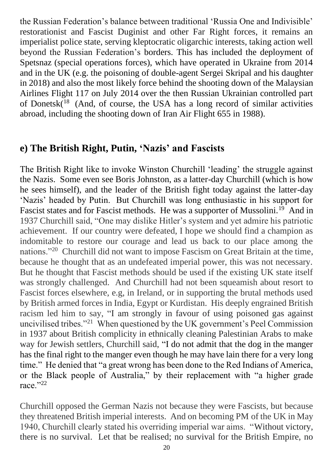the Russian Federation's balance between traditional 'Russia One and Indivisible' restorationist and Fascist Duginist and other Far Right forces, it remains an imperialist police state, serving kleptocratic oligarchic interests, taking action well beyond the Russian Federation's borders. This has included the deployment of Spetsnaz (special operations forces), which have operated in Ukraine from 2014 and in the UK (e.g. the poisoning of double-agent Sergei Skripal and his daughter in 2018) and also the most likely force behind the shooting down of the Malaysian Airlines Flight 117 on July 2014 over the then Russian Ukrainian controlled part of Donetsk( $18$  (And, of course, the USA has a long record of similar activities abroad, including the shooting down of Iran Air Flight 655 in 1988).

#### **e) The British Right, Putin, 'Nazis' and Fascists**

The British Right like to invoke Winston Churchill 'leading' the struggle against the Nazis. Some even see Boris Johnston, as a latter-day Churchill (which is how he sees himself), and the leader of the British fight today against the latter-day 'Nazis' headed by Putin. But Churchill was long enthusiastic in his support for Fascist states and for Fascist methods. He was a supporter of Mussolini.<sup>19</sup> And in 1937 Churchill said, "One may dislike Hitler's system and yet admire his patriotic achievement. If our country were defeated, I hope we should find a champion as indomitable to restore our courage and lead us back to our place among the nations."<sup>20</sup> Churchill did not want to impose Fascism on Great Britain at the time, because he thought that as an undefeated imperial power, this was not necessary. But he thought that Fascist methods should be used if the existing UK state itself was strongly challenged. And Churchill had not been squeamish about resort to Fascist forces elsewhere, e.g, in Ireland, or in supporting the brutal methods used by British armed forces in India, Egypt or Kurdistan. His deeply engrained British racism led him to say, "I am strongly in favour of using poisoned gas against uncivilised tribes."<sup>21</sup> When questioned by the UK government's Peel Commission in 1937 about British complicity in ethnically cleaning Palestinian Arabs to make way for Jewish settlers, Churchill said, "I do not admit that the dog in the manger has the final right to the manger even though he may have lain there for a very long time." He denied that "a great wrong has been done to the Red Indians of America, or the Black people of Australia," by their replacement with "a higher grade race."22

Churchill opposed the German Nazis not because they were Fascists, but because they threatened British imperial interests. And on becoming PM of the UK in May 1940, Churchill clearly stated his overriding imperial war aims. "Without victory, there is no survival. Let that be realised; no survival for the British Empire, no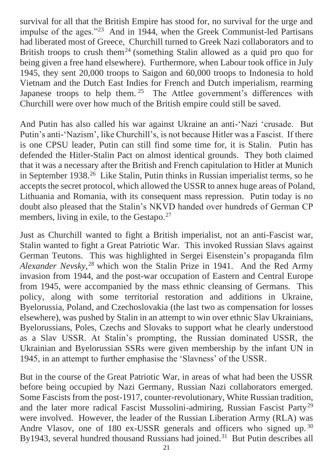survival for all that the British Empire has stood for, no survival for the urge and impulse of the ages."<sup>23</sup> And in 1944, when the Greek Communist-led Partisans had liberated most of Greece, Churchill turned to Greek Nazi collaborators and to British troops to crush them<sup>24</sup> (something Stalin allowed as a quid pro quo for being given a free hand elsewhere). Furthermore, when Labour took office in July 1945, they sent 20,000 troops to Saigon and 60,000 troops to Indonesia to hold Vietnam and the Dutch East Indies for French and Dutch imperialism, rearming Japanese troops to help them.  $25$  The Attlee government's differences with Churchill were over how much of the British empire could still be saved.

And Putin has also called his war against Ukraine an anti-'Nazi 'crusade. But Putin's anti-'Nazism', like Churchill's, is not because Hitler was a Fascist. If there is one CPSU leader, Putin can still find some time for, it is Stalin. Putin has defended the Hitler-Stalin Pact on almost identical grounds. They both claimed that it was a necessary after the British and French capitulation to Hitler at Munich in September 1938.<sup>26</sup> Like Stalin, Putin thinks in Russian imperialist terms, so he accepts the secret protocol, which allowed the USSR to annex huge areas of Poland, Lithuania and Romania, with its consequent mass repression. Putin today is no doubt also pleased that the Stalin's NKVD handed over hundreds of German CP members, living in exile, to the Gestapo. $27$ 

Just as Churchill wanted to fight a British imperialist, not an anti-Fascist war, Stalin wanted to fight a Great Patriotic War. This invoked Russian Slavs against German Teutons. This was highlighted in Sergei Eisenstein's propaganda film *Alexander Nevsky*, <sup>28</sup> which won the Stalin Prize in 1941. And the Red Army invasion from 1944, and the post-war occupation of Eastern and Central Europe from 1945, were accompanied by the mass ethnic cleansing of Germans. This policy, along with some territorial restoration and additions in Ukraine, Byelorussia, Poland, and Czechoslovakia (the last two as compensation for losses elsewhere), was pushed by Stalin in an attempt to win over ethnic Slav Ukrainians, Byelorussians, Poles, Czechs and Slovaks to support what he clearly understood as a Slav USSR. At Stalin's prompting, the Russian dominated USSR, the Ukrainian and Byelorussian SSRs were given membership by the infant UN in 1945, in an attempt to further emphasise the 'Slavness' of the USSR.

But in the course of the Great Patriotic War, in areas of what had been the USSR before being occupied by Nazi Germany, Russian Nazi collaborators emerged. Some Fascists from the post-1917, counter-revolutionary, White Russian tradition, and the later more radical Fascist Mussolini-admiring, Russian Fascist Party<sup>29</sup> were involved. However, the leader of the Russian Liberation Army (RLA) was Andre Vlasov, one of 180 ex-USSR generals and officers who signed up. 30 By1943, several hundred thousand Russians had joined.<sup>31</sup> But Putin describes all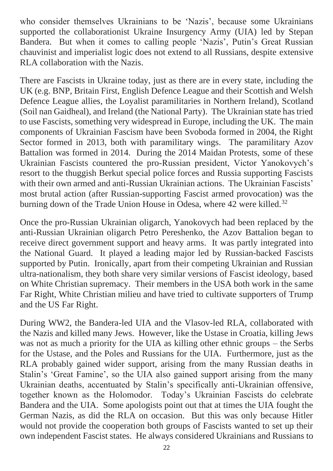who consider themselves Ukrainians to be 'Nazis', because some Ukrainians supported the collaborationist Ukraine Insurgency Army (UIA) led by Stepan Bandera. But when it comes to calling people 'Nazis', Putin's Great Russian chauvinist and imperialist logic does not extend to all Russians, despite extensive RLA collaboration with the Nazis.

There are Fascists in Ukraine today, just as there are in every state, including the UK (e.g. BNP, Britain First, English Defence League and their Scottish and Welsh Defence League allies, the Loyalist paramilitaries in Northern Ireland), Scotland (Soil nan Gaidheal), and Ireland (the National Party). The Ukrainian state has tried to use Fascists, something very widespread in Europe, including the UK. The main components of Ukrainian Fascism have been Svoboda formed in 2004, the Right Sector formed in 2013, both with paramilitary wings. The paramilitary Azov Battalion was formed in 2014. During the 2014 Maidan Protests, some of these Ukrainian Fascists countered the pro-Russian president, Victor Yanokovych's resort to the thuggish Berkut special police forces and Russia supporting Fascists with their own armed and anti-Russian Ukrainian actions. The Ukrainian Fascists' most brutal action (after Russian-supporting Fascist armed provocation) was the burning down of the Trade Union House in Odesa, where 42 were killed.<sup>32</sup>

Once the pro-Russian Ukrainian oligarch, Yanokovych had been replaced by the anti-Russian Ukrainian oligarch Petro Pereshenko, the Azov Battalion began to receive direct government support and heavy arms. It was partly integrated into the National Guard. It played a leading major led by Russian-backed Fascists supported by Putin. Ironically, apart from their competing Ukrainian and Russian ultra-nationalism, they both share very similar versions of Fascist ideology, based on White Christian supremacy. Their members in the USA both work in the same Far Right, White Christian milieu and have tried to cultivate supporters of Trump and the US Far Right.

During WW2, the Bandera-led UIA and the Vlasov-led RLA, collaborated with the Nazis and killed many Jews. However, like the Ustase in Croatia, killing Jews was not as much a priority for the UIA as killing other ethnic groups – the Serbs for the Ustase, and the Poles and Russians for the UIA. Furthermore, just as the RLA probably gained wider support, arising from the many Russian deaths in Stalin's 'Great Famine', so the UIA also gained support arising from the many Ukrainian deaths, accentuated by Stalin's specifically anti-Ukrainian offensive, together known as the Holomodor. Today's Ukrainian Fascists do celebrate Bandera and the UIA. Some apologists point out that at times the UIA fought the German Nazis, as did the RLA on occasion. But this was only because Hitler would not provide the cooperation both groups of Fascists wanted to set up their own independent Fascist states. He always considered Ukrainians and Russians to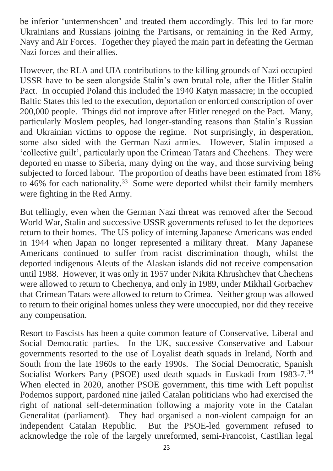be inferior 'untermenshcen' and treated them accordingly. This led to far more Ukrainians and Russians joining the Partisans, or remaining in the Red Army, Navy and Air Forces. Together they played the main part in defeating the German Nazi forces and their allies.

However, the RLA and UIA contributions to the killing grounds of Nazi occupied USSR have to be seen alongside Stalin's own brutal role, after the Hitler Stalin Pact. In occupied Poland this included the 1940 Katyn massacre; in the occupied Baltic States this led to the execution, deportation or enforced conscription of over 200,000 people. Things did not improve after Hitler reneged on the Pact. Many, particularly Moslem peoples, had longer-standing reasons than Stalin's Russian and Ukrainian victims to oppose the regime. Not surprisingly, in desperation, some also sided with the German Nazi armies. However, Stalin imposed a 'collective guilt', particularly upon the Crimean Tatars and Chechens. They were deported en masse to Siberia, many dying on the way, and those surviving being subjected to forced labour. The proportion of deaths have been estimated from 18% to  $46\%$  for each nationality.<sup>33</sup> Some were deported whilst their family members were fighting in the Red Army.

But tellingly, even when the German Nazi threat was removed after the Second World War, Stalin and successive USSR governments refused to let the deportees return to their homes. The US policy of interning Japanese Americans was ended in 1944 when Japan no longer represented a military threat. Many Japanese Americans continued to suffer from racist discrimination though, whilst the deported indigenous Aleuts of the Alaskan islands did not receive compensation until 1988. However, it was only in 1957 under Nikita Khrushchev that Chechens were allowed to return to Chechenya, and only in 1989, under Mikhail Gorbachev that Crimean Tatars were allowed to return to Crimea. Neither group was allowed to return to their original homes unless they were unoccupied, nor did they receive any compensation.

Resort to Fascists has been a quite common feature of Conservative, Liberal and Social Democratic parties. In the UK, successive Conservative and Labour governments resorted to the use of Loyalist death squads in Ireland, North and South from the late 1960s to the early 1990s. The Social Democratic, Spanish Socialist Workers Party (PSOE) used death squads in Euskadi from 1983-7.<sup>34</sup> When elected in 2020, another PSOE government, this time with Left populist Podemos support, pardoned nine jailed Catalan politicians who had exercised the right of national self-determination following a majority vote in the Catalan Generalitat (parliament). They had organised a non-violent campaign for an independent Catalan Republic. But the PSOE-led government refused to acknowledge the role of the largely unreformed, semi-Francoist, Castilian legal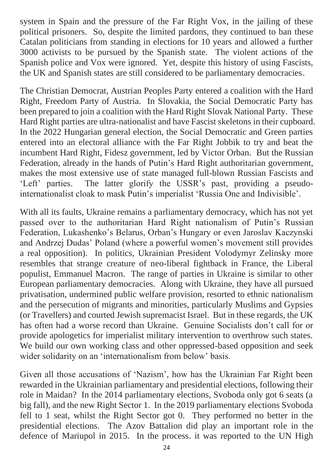system in Spain and the pressure of the Far Right Vox, in the jailing of these political prisoners. So, despite the limited pardons, they continued to ban these Catalan politicians from standing in elections for 10 years and allowed a further 3000 activists to be pursued by the Spanish state. The violent actions of the Spanish police and Vox were ignored. Yet, despite this history of using Fascists, the UK and Spanish states are still considered to be parliamentary democracies.

The Christian Democrat, Austrian Peoples Party entered a coalition with the Hard Right, Freedom Party of Austria. In Slovakia, the Social Democratic Party has been prepared to join a coalition with the Hard Right Slovak National Party. These Hard Right parties are ultra-nationalist and have Fascist skeletons in their cupboard. In the 2022 Hungarian general election, the Social Democratic and Green parties entered into an electoral alliance with the Far Right Jobbik to try and beat the incumbent Hard Right, Fidesz government, led by Victor Orban. But the Russian Federation, already in the hands of Putin's Hard Right authoritarian government, makes the most extensive use of state managed full-blown Russian Fascists and 'Left' parties. The latter glorify the USSR's past, providing a pseudointernationalist cloak to mask Putin's imperialist 'Russia One and Indivisible'.

With all its faults, Ukraine remains a parliamentary democracy, which has not yet passed over to the authoritarian Hard Right nationalism of Putin's Russian Federation, Lukashenko's Belarus, Orban's Hungary or even Jaroslav Kaczynski and Andrzej Dudas' Poland (where a powerful women's movement still provides a real opposition). In politics, Ukrainian President Volodymyr Zelinsky more resembles that strange creature of neo-liberal fightback in France, the Liberal populist, Emmanuel Macron. The range of parties in Ukraine is similar to other European parliamentary democracies. Along with Ukraine, they have all pursued privatisation, undermined public welfare provision, resorted to ethnic nationalism and the persecution of migrants and minorities, particularly Muslims and Gypsies (or Travellers) and courted Jewish supremacist Israel. But in these regards, the UK has often had a worse record than Ukraine. Genuine Socialists don't call for or provide apologetics for imperialist military intervention to overthrow such states. We build our own working class and other oppressed-based opposition and seek wider solidarity on an 'internationalism from below' basis.

Given all those accusations of 'Nazism', how has the Ukrainian Far Right been rewarded in the Ukrainian parliamentary and presidential elections, following their role in Maidan? In the 2014 parliamentary elections, Svoboda only got 6 seats (a big fall), and the new Right Sector 1. In the 2019 parliamentary elections Svoboda fell to 1 seat, whilst the Right Sector got 0. They performed no better in the presidential elections. The Azov Battalion did play an important role in the defence of Mariupol in 2015. In the process. it was reported to the UN High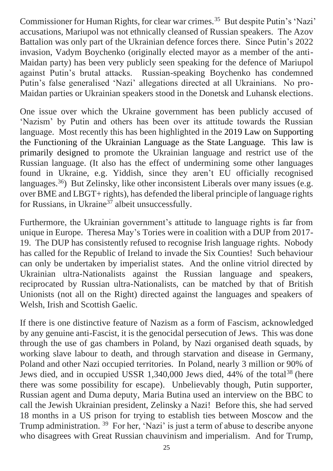Commissioner for Human Rights, for clear war crimes.<sup>35</sup> But despite Putin's 'Nazi' accusations, Mariupol was not ethnically cleansed of Russian speakers. The Azov Battalion was only part of the Ukrainian defence forces there. Since Putin's 2022 invasion, Vadym Boychenko (originally elected mayor as a member of the anti-Maidan party) has been very publicly seen speaking for the defence of Mariupol against Putin's brutal attacks. Russian-speaking Boychenko has condemned Putin's false generalised 'Nazi' allegations directed at all Ukrainians. No pro-Maidan parties or Ukrainian speakers stood in the Donetsk and Luhansk elections.

One issue over which the Ukraine government has been publicly accused of 'Nazism' by Putin and others has been over its attitude towards the Russian language. Most recently this has been highlighted in the 2019 Law on Supporting the Functioning of the Ukrainian Language as the State Language. This law is primarily designed to promote the Ukrainian language and restrict use of the Russian language. (It also has the effect of undermining some other languages found in Ukraine, e.g. Yiddish, since they aren't EU officially recognised languages.<sup>36</sup>) But Zelinsky, like other inconsistent Liberals over many issues (e.g. over BME and LBGT+ rights), has defended the liberal principle of language rights for Russians, in Ukraine<sup>37</sup> albeit unsuccessfully.

Furthermore, the Ukrainian government's attitude to language rights is far from unique in Europe. Theresa May's Tories were in coalition with a DUP from 2017- 19. The DUP has consistently refused to recognise Irish language rights. Nobody has called for the Republic of Ireland to invade the Six Counties! Such behaviour can only be undertaken by imperialist states. And the online vitriol directed by Ukrainian ultra-Nationalists against the Russian language and speakers, reciprocated by Russian ultra-Nationalists, can be matched by that of British Unionists (not all on the Right) directed against the languages and speakers of Welsh, Irish and Scottish Gaelic.

If there is one distinctive feature of Nazism as a form of Fascism, acknowledged by any genuine anti-Fascist, it is the genocidal persecution of Jews. This was done through the use of gas chambers in Poland, by Nazi organised death squads, by working slave labour to death, and through starvation and disease in Germany, Poland and other Nazi occupied territories. In Poland, nearly 3 million or 90% of Jews died, and in occupied USSR 1,340,000 Jews died, 44% of the total<sup>38</sup> (here there was some possibility for escape). Unbelievably though, Putin supporter, Russian agent and Duma deputy, Maria Butina used an interview on the BBC to call the Jewish Ukrainian president, Zelinsky a Nazi! Before this, she had served 18 months in a US prison for trying to establish ties between Moscow and the Trump administration.<sup>39</sup> For her, 'Nazi' is just a term of abuse to describe anyone who disagrees with Great Russian chauvinism and imperialism. And for Trump,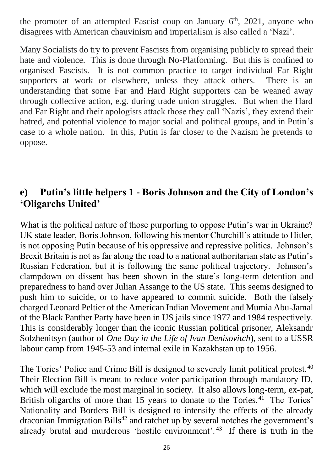the promoter of an attempted Fascist coup on January  $6<sup>th</sup>$ , 2021, anyone who disagrees with American chauvinism and imperialism is also called a 'Nazi'.

Many Socialists do try to prevent Fascists from organising publicly to spread their hate and violence. This is done through No-Platforming. But this is confined to organised Fascists. It is not common practice to target individual Far Right supporters at work or elsewhere, unless they attack others. There is an understanding that some Far and Hard Right supporters can be weaned away through collective action, e.g. during trade union struggles. But when the Hard and Far Right and their apologists attack those they call 'Nazis', they extend their hatred, and potential violence to major social and political groups, and in Putin's case to a whole nation. In this, Putin is far closer to the Nazism he pretends to oppose.

# **e) Putin's little helpers 1 - Boris Johnson and the City of London's 'Oligarchs United'**

What is the political nature of those purporting to oppose Putin's war in Ukraine? UK state leader, Boris Johnson, following his mentor Churchill's attitude to Hitler, is not opposing Putin because of his oppressive and repressive politics. Johnson's Brexit Britain is not as far along the road to a national authoritarian state as Putin's Russian Federation, but it is following the same political trajectory. Johnson's clampdown on dissent has been shown in the state's long-term detention and preparedness to hand over Julian Assange to the US state. This seems designed to push him to suicide, or to have appeared to commit suicide. Both the falsely charged Leonard Peltier of the American Indian Movement and Mumia Abu-Jamal of the Black Panther Party have been in US jails since 1977 and 1984 respectively. This is considerably longer than the iconic Russian political prisoner, Aleksandr Solzhenitsyn (author of *One Day in the Life of Ivan Denisovitch*), sent to a USSR labour camp from 1945-53 and internal exile in Kazakhstan up to 1956.

The Tories' Police and Crime Bill is designed to severely limit political protest.<sup>40</sup> Their Election Bill is meant to reduce voter participation through mandatory ID, which will exclude the most marginal in society. It also allows long-term, ex-pat, British oligarchs of more than 15 years to donate to the Tories.<sup>41</sup> The Tories' Nationality and Borders Bill is designed to intensify the effects of the already draconian Immigration Bills<sup>42</sup> and ratchet up by several notches the government's already brutal and murderous 'hostile environment'.<sup>43</sup> If there is truth in the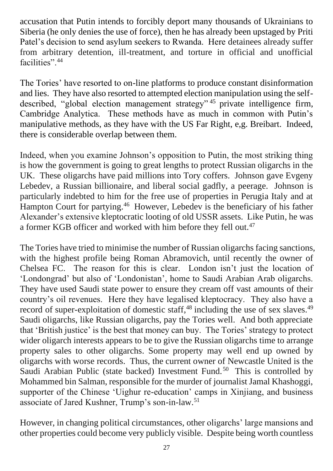accusation that Putin intends to forcibly deport many thousands of Ukrainians to Siberia (he only denies the use of force), then he has already been upstaged by Priti Patel's decision to send asylum seekers to Rwanda. Here detainees already suffer from arbitrary detention, ill-treatment, and torture in official and unofficial facilities".<sup>44</sup>

The Tories' have resorted to on-line platforms to produce constant disinformation and lies. They have also resorted to attempted election manipulation using the selfdescribed, "global election management strategy" <sup>45</sup> private intelligence firm, Cambridge Analytica. These methods have as much in common with Putin's manipulative methods, as they have with the US Far Right, e,g. Breibart. Indeed, there is considerable overlap between them.

Indeed, when you examine Johnson's opposition to Putin, the most striking thing is how the government is going to great lengths to protect Russian oligarchs in the UK. These oligarchs have paid millions into Tory coffers. Johnson gave Evgeny Lebedev, a Russian billionaire, and liberal social gadfly, a peerage. Johnson is particularly indebted to him for the free use of properties in Perugia Italy and at Hampton Court for partying.<sup>46</sup> However, Lebedev is the beneficiary of his father Alexander's extensive kleptocratic looting of old USSR assets. Like Putin, he was a former KGB officer and worked with him before they fell out.<sup>47</sup>

The Tories have tried to minimise the number of Russian oligarchs facing sanctions, with the highest profile being Roman Abramovich, until recently the owner of Chelsea FC. The reason for this is clear. London isn't just the location of 'Londongrad' but also of 'Londonistan', home to Saudi Arabian Arab oligarchs. They have used Saudi state power to ensure they cream off vast amounts of their country's oil revenues. Here they have legalised kleptocracy. They also have a record of super-exploitation of domestic staff,<sup>48</sup> including the use of sex slaves.<sup>49</sup> Saudi oligarchs, like Russian oligarchs, pay the Tories well. And both appreciate that 'British justice' is the best that money can buy. The Tories' strategy to protect wider oligarch interests appears to be to give the Russian oligarchs time to arrange property sales to other oligarchs. Some property may well end up owned by oligarchs with worse records. Thus, the current owner of Newcastle United is the Saudi Arabian Public (state backed) Investment Fund.<sup>50</sup> This is controlled by Mohammed bin Salman, responsible for the murder of journalist Jamal Khashoggi, supporter of the Chinese 'Uighur re-education' camps in Xinjiang, and business associate of Jared Kushner, Trump's son-in-law.<sup>51</sup>

However, in changing political circumstances, other oligarchs' large mansions and other properties could become very publicly visible. Despite being worth countless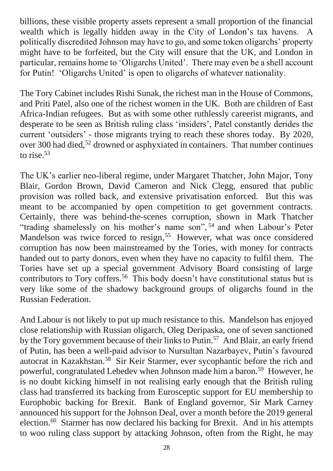billions, these visible property assets represent a small proportion of the financial wealth which is legally hidden away in the City of London's tax havens. A politically discredited Johnson may have to go, and some token oligarchs' property might have to be forfeited, but the City will ensure that the UK, and London in particular, remains home to 'Oligarchs United'. There may even be a shell account for Putin! 'Oligarchs United' is open to oligarchs of whatever nationality.

The Tory Cabinet includes Rishi Sunak, the richest man in the House of Commons, and Priti Patel, also one of the richest women in the UK. Both are children of East Africa-Indian refugees. But as with some other ruthlessly careerist migrants, and desperate to be seen as British ruling class 'insiders', Patel constantly derides the current 'outsiders' - those migrants trying to reach these shores today. By 2020, over 300 had died,<sup>52</sup> drowned or asphyxiated in containers. That number continues to rise.<sup>53</sup>

The UK's earlier neo-liberal regime, under Margaret Thatcher, John Major, Tony Blair, Gordon Brown, David Cameron and Nick Clegg, ensured that public provision was rolled back, and extensive privatisation enforced. But this was meant to be accompanied by open competition to get government contracts. Certainly, there was behind-the-scenes corruption, shown in Mark Thatcher "trading shamelessly on his mother's name son", <sup>54</sup> and when Labour's Peter Mandelson was twice forced to resign,<sup>55</sup> However, what was once considered corruption has now been mainstreamed by the Tories, with money for contracts handed out to party donors, even when they have no capacity to fulfil them. The Tories have set up a special government Advisory Board consisting of large contributors to Tory coffers.<sup>56</sup> This body doesn't have constitutional status but is very like some of the shadowy background groups of oligarchs found in the Russian Federation.

And Labour is not likely to put up much resistance to this. Mandelson has enjoyed close relationship with Russian oligarch, Oleg Deripaska, one of seven sanctioned by the Tory government because of their links to Putin.<sup>57</sup> And Blair, an early friend of Putin, has been a well-paid advisor to Nursultan Nazarbayev, Putin's favoured autocrat in Kazakhstan.<sup>58</sup> Sir Keir Starmer, ever sycophantic before the rich and powerful, congratulated Lebedev when Johnson made him a baron.<sup>59</sup> However, he is no doubt kicking himself in not realising early enough that the British ruling class had transferred its backing from Eurosceptic support for EU membership to Europhobic backing for Brexit. Bank of England governor, Sir Mark Carney announced his support for the Johnson Deal, over a month before the 2019 general election.<sup>60</sup> Starmer has now declared his backing for Brexit. And in his attempts to woo ruling class support by attacking Johnson, often from the Right, he may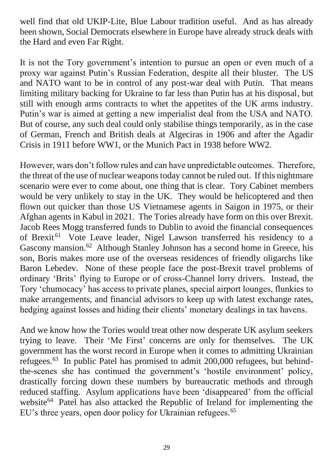well find that old UKIP-Lite, Blue Labour tradition useful. And as has already been shown, Social Democrats elsewhere in Europe have already struck deals with the Hard and even Far Right.

It is not the Tory government's intention to pursue an open or even much of a proxy war against Putin's Russian Federation, despite all their bluster. The US and NATO want to be in control of any post-war deal with Putin. That means limiting military backing for Ukraine to far less than Putin has at his disposal, but still with enough arms contracts to whet the appetites of the UK arms industry. Putin's war is aimed at getting a new imperialist deal from the USA and NATO. But of course, any such deal could only stabilise things temporarily, as in the case of German, French and British deals at Algeciras in 1906 and after the Agadir Crisis in 1911 before WW1, or the Munich Pact in 1938 before WW2.

However, wars don't follow rules and can have unpredictable outcomes. Therefore, the threat of the use of nuclear weapons today cannot be ruled out. If this nightmare scenario were ever to come about, one thing that is clear. Tory Cabinet members would be very unlikely to stay in the UK. They would be helicoptered and then flown out quicker than those US Vietnamese agents in Saigon in 1975, or their Afghan agents in Kabul in 2021. The Tories already have form on this over Brexit. Jacob Rees Mogg transferred funds to Dublin to avoid the financial consequences of Brexit<sup>61</sup> Vote Leave leader, Nigel Lawson transferred his residency to a Gascony mansion.<sup>62</sup> Although Stanley Johnson has a second home in Greece, his son, Boris makes more use of the overseas residences of friendly oligarchs like Baron Lebedev. None of these people face the post-Brexit travel problems of ordinary 'Brits' flying to Europe or of cross-Channel lorry drivers. Instead, the Tory 'chumocacy' has access to private planes, special airport lounges, flunkies to make arrangements, and financial advisors to keep up with latest exchange rates, hedging against losses and hiding their clients' monetary dealings in tax havens.

And we know how the Tories would treat other now desperate UK asylum seekers trying to leave. Their 'Me First' concerns are only for themselves. The UK government has the worst record in Europe when it comes to admitting Ukrainian refugees.<sup>63</sup> In public Patel has promised to admit 200,000 refugees, but behindthe-scenes she has continued the government's 'hostile environment' policy, drastically forcing down these numbers by bureaucratic methods and through reduced staffing. Asylum applications have been 'disappeared' from the official website<sup>64</sup> Patel has also attacked the Republic of Ireland for implementing the EU's three years, open door policy for Ukrainian refugees.<sup>65</sup>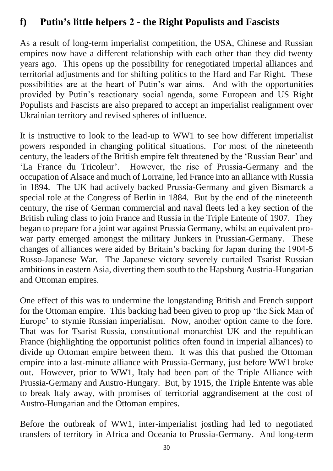# **f) Putin's little helpers 2 - the Right Populists and Fascists**

As a result of long-term imperialist competition, the USA, Chinese and Russian empires now have a different relationship with each other than they did twenty years ago. This opens up the possibility for renegotiated imperial alliances and territorial adjustments and for shifting politics to the Hard and Far Right. These possibilities are at the heart of Putin's war aims. And with the opportunities provided by Putin's reactionary social agenda, some European and US Right Populists and Fascists are also prepared to accept an imperialist realignment over Ukrainian territory and revised spheres of influence.

It is instructive to look to the lead-up to WW1 to see how different imperialist powers responded in changing political situations. For most of the nineteenth century, the leaders of the British empire felt threatened by the 'Russian Bear' and 'La France du Tricoleur'. However, the rise of Prussia-Germany and the occupation of Alsace and much of Lorraine, led France into an alliance with Russia in 1894. The UK had actively backed Prussia-Germany and given Bismarck a special role at the Congress of Berlin in 1884. But by the end of the nineteenth century, the rise of German commercial and naval fleets led a key section of the British ruling class to join France and Russia in the Triple Entente of 1907. They began to prepare for a joint war against Prussia Germany, whilst an equivalent prowar party emerged amongst the military Junkers in Prussian-Germany. These changes of alliances were aided by Britain's backing for Japan during the 1904-5 Russo-Japanese War. The Japanese victory severely curtailed Tsarist Russian ambitions in eastern Asia, diverting them south to the Hapsburg Austria-Hungarian and Ottoman empires.

One effect of this was to undermine the longstanding British and French support for the Ottoman empire. This backing had been given to prop up 'the Sick Man of Europe' to stymie Russian imperialism. Now, another option came to the fore. That was for Tsarist Russia, constitutional monarchist UK and the republican France (highlighting the opportunist politics often found in imperial alliances) to divide up Ottoman empire between them. It was this that pushed the Ottoman empire into a last-minute alliance with Prussia-Germany, just before WW1 broke out. However, prior to WW1, Italy had been part of the Triple Alliance with Prussia-Germany and Austro-Hungary. But, by 1915, the Triple Entente was able to break Italy away, with promises of territorial aggrandisement at the cost of Austro-Hungarian and the Ottoman empires.

Before the outbreak of WW1, inter-imperialist jostling had led to negotiated transfers of territory in Africa and Oceania to Prussia-Germany. And long-term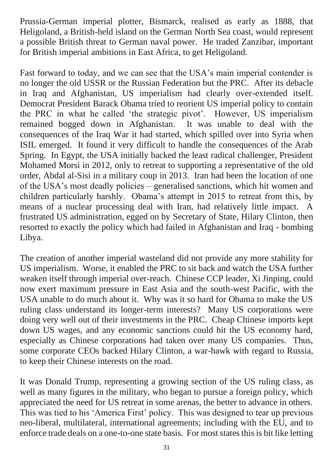Prussia-German imperial plotter, Bismarck, realised as early as 1888, that Heligoland, a British-held island on the German North Sea coast, would represent a possible British threat to German naval power. He traded Zanzibar, important for British imperial ambitions in East Africa, to get Heligoland.

Fast forward to today, and we can see that the USA's main imperial contender is no longer the old USSR or the Russian Federation but the PRC. After its debacle in Iraq and Afghanistan, US imperialism had clearly over-extended itself. Democrat President Barack Obama tried to reorient US imperial policy to contain the PRC in what he called 'the strategic pivot'. However, US imperialism remained bogged down in Afghanistan. It was unable to deal with the consequences of the Iraq War it had started, which spilled over into Syria when ISIL emerged. It found it very difficult to handle the consequences of the Arab Spring. In Egypt, the USA initially backed the least radical challenger, President Mohamed Morsi in 2012, only to retreat to supporting a representative of the old order, Abdal al-Sisi in a military coup in 2013. Iran had been the location of one of the USA's most deadly policies – generalised sanctions, which hit women and children particularly harshly. Obama's attempt in 2015 to retreat from this, by means of a nuclear processing deal with Iran, had relatively little impact. A frustrated US administration, egged on by Secretary of State, Hilary Clinton, then resorted to exactly the policy which had failed in Afghanistan and Iraq - bombing Libya.

The creation of another imperial wasteland did not provide any more stability for US imperialism. Worse, it enabled the PRC to sit back and watch the USA further weaken itself through imperial over-reach. Chinese CCP leader, Xi Jinping, could now exert maximum pressure in East Asia and the south-west Pacific, with the USA unable to do much about it. Why was it so hard for Obama to make the US ruling class understand its longer-term interests? Many US corporations were doing very well out of their investments in the PRC. Cheap Chinese imports kept down US wages, and any economic sanctions could hit the US economy hard, especially as Chinese corporations had taken over many US companies. Thus, some corporate CEOs backed Hilary Clinton, a war-hawk with regard to Russia, to keep their Chinese interests on the road.

It was Donald Trump, representing a growing section of the US ruling class, as well as many figures in the military, who began to pursue a foreign policy, which appreciated the need for US retreat in some arenas, the better to advance in others. This was tied to his 'America First' policy. This was designed to tear up previous neo-liberal, multilateral, international agreements; including with the EU, and to enforce trade deals on a one-to-one state basis. For most states this is bit like letting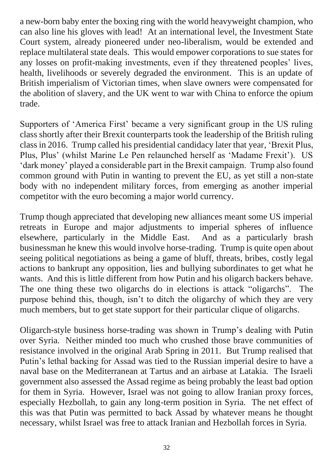a new-born baby enter the boxing ring with the world heavyweight champion, who can also line his gloves with lead! At an international level, the Investment State Court system, already pioneered under neo-liberalism, would be extended and replace multilateral state deals. This would empower corporations to sue states for any losses on profit-making investments, even if they threatened peoples' lives, health, livelihoods or severely degraded the environment. This is an update of British imperialism of Victorian times, when slave owners were compensated for the abolition of slavery, and the UK went to war with China to enforce the opium trade.

Supporters of 'America First' became a very significant group in the US ruling class shortly after their Brexit counterparts took the leadership of the British ruling class in 2016. Trump called his presidential candidacy later that year, 'Brexit Plus, Plus, Plus' (whilst Marine Le Pen relaunched herself as 'Madame Frexit'). US 'dark money' played a considerable part in the Brexit campaign. Trump also found common ground with Putin in wanting to prevent the EU, as yet still a non-state body with no independent military forces, from emerging as another imperial competitor with the euro becoming a major world currency.

Trump though appreciated that developing new alliances meant some US imperial retreats in Europe and major adjustments to imperial spheres of influence elsewhere, particularly in the Middle East. And as a particularly brash businessman he knew this would involve horse-trading. Trump is quite open about seeing political negotiations as being a game of bluff, threats, bribes, costly legal actions to bankrupt any opposition, lies and bullying subordinates to get what he wants. And this is little different from how Putin and his oligarch backers behave. The one thing these two oligarchs do in elections is attack "oligarchs". The purpose behind this, though, isn't to ditch the oligarchy of which they are very much members, but to get state support for their particular clique of oligarchs.

Oligarch-style business horse-trading was shown in Trump's dealing with Putin over Syria. Neither minded too much who crushed those brave communities of resistance involved in the original Arab Spring in 2011. But Trump realised that Putin's lethal backing for Assad was tied to the Russian imperial desire to have a naval base on the Mediterranean at Tartus and an airbase at Latakia. The Israeli government also assessed the Assad regime as being probably the least bad option for them in Syria. However, Israel was not going to allow Iranian proxy forces, especially Hezbollah, to gain any long-term position in Syria. The net effect of this was that Putin was permitted to back Assad by whatever means he thought necessary, whilst Israel was free to attack Iranian and Hezbollah forces in Syria.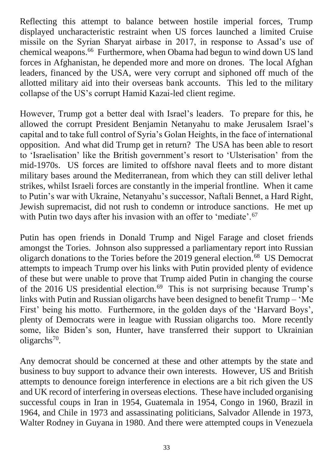Reflecting this attempt to balance between hostile imperial forces, Trump displayed uncharacteristic restraint when US forces launched a limited Cruise missile on the Syrian Sharyat airbase in 2017, in response to Assad's use of chemical weapons. 66 Furthermore, when Obama had begun to wind down US land forces in Afghanistan, he depended more and more on drones. The local Afghan leaders, financed by the USA, were very corrupt and siphoned off much of the allotted military aid into their overseas bank accounts. This led to the military collapse of the US's corrupt Hamid Kazai-led client regime.

However, Trump got a better deal with Israel's leaders. To prepare for this, he allowed the corrupt President Benjamin Netanyahu to make Jerusalem Israel's capital and to take full control of Syria's Golan Heights, in the face of international opposition. And what did Trump get in return? The USA has been able to resort to 'Israelisation' like the British government's resort to 'Ulsterisation' from the mid-1970s. US forces are limited to offshore naval fleets and to more distant military bases around the Mediterranean, from which they can still deliver lethal strikes, whilst Israeli forces are constantly in the imperial frontline. When it came to Putin's war with Ukraine, Netanyahu's successor, Naftali Bennet, a Hard Right, Jewish supremacist, did not rush to condemn or introduce sanctions. He met up with Putin two days after his invasion with an offer to 'mediate'.<sup>67</sup>

Putin has open friends in Donald Trump and Nigel Farage and closet friends amongst the Tories. Johnson also suppressed a parliamentary report into Russian oligarch donations to the Tories before the 2019 general election.<sup>68</sup> US Democrat attempts to impeach Trump over his links with Putin provided plenty of evidence of these but were unable to prove that Trump aided Putin in changing the course of the 2016 US presidential election.<sup>69</sup> This is not surprising because Trump's links with Putin and Russian oligarchs have been designed to benefit Trump – 'Me First' being his motto. Furthermore, in the golden days of the 'Harvard Boys', plenty of Democrats were in league with Russian oligarchs too. More recently some, like Biden's son, Hunter, have transferred their support to Ukrainian oligarchs<sup>70</sup>.

Any democrat should be concerned at these and other attempts by the state and business to buy support to advance their own interests. However, US and British attempts to denounce foreign interference in elections are a bit rich given the US and UK record of interfering in overseas elections. These have included organising successful coups in Iran in 1954, Guatemala in 1954, Congo in 1960, Brazil in 1964, and Chile in 1973 and assassinating politicians, Salvador Allende in 1973, Walter Rodney in Guyana in 1980. And there were attempted coups in Venezuela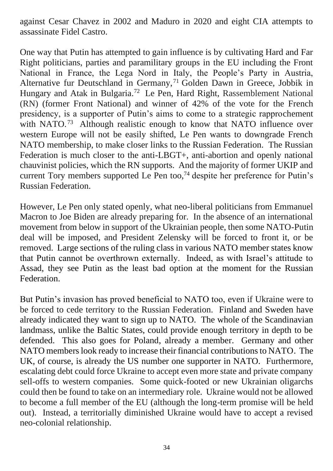against Cesar Chavez in 2002 and Maduro in 2020 and eight CIA attempts to assassinate Fidel Castro.

One way that Putin has attempted to gain influence is by cultivating Hard and Far Right politicians, parties and paramilitary groups in the EU including the Front National in France, the Lega Nord in Italy, the People's Party in Austria, Alternative fur Deutschland in Germany,<sup>71</sup> Golden Dawn in Greece, Jobbik in Hungary and Atak in Bulgaria.<sup>72</sup> Le Pen, Hard Right, Rassemblement National (RN) (former Front National) and winner of 42% of the vote for the French presidency, is a supporter of Putin's aims to come to a strategic rapprochement with NATO.<sup>73</sup> Although realistic enough to know that NATO influence over western Europe will not be easily shifted, Le Pen wants to downgrade French NATO membership, to make closer links to the Russian Federation. The Russian Federation is much closer to the anti-LBGT+, anti-abortion and openly national chauvinist policies, which the RN supports. And the majority of former UKIP and current Tory members supported Le Pen too,<sup>74</sup> despite her preference for Putin's Russian Federation.

However, Le Pen only stated openly, what neo-liberal politicians from Emmanuel Macron to Joe Biden are already preparing for. In the absence of an international movement from below in support of the Ukrainian people, then some NATO-Putin deal will be imposed, and President Zelensky will be forced to front it, or be removed. Large sections of the ruling class in various NATO member states know that Putin cannot be overthrown externally. Indeed, as with Israel's attitude to Assad, they see Putin as the least bad option at the moment for the Russian Federation.

But Putin's invasion has proved beneficial to NATO too, even if Ukraine were to be forced to cede territory to the Russian Federation. Finland and Sweden have already indicated they want to sign up to NATO. The whole of the Scandinavian landmass, unlike the Baltic States, could provide enough territory in depth to be defended. This also goes for Poland, already a member. Germany and other NATO members look ready to increase their financial contributions to NATO. The UK, of course, is already the US number one supporter in NATO. Furthermore, escalating debt could force Ukraine to accept even more state and private company sell-offs to western companies. Some quick-footed or new Ukrainian oligarchs could then be found to take on an intermediary role. Ukraine would not be allowed to become a full member of the EU (although the long-term promise will be held out). Instead, a territorially diminished Ukraine would have to accept a revised neo-colonial relationship.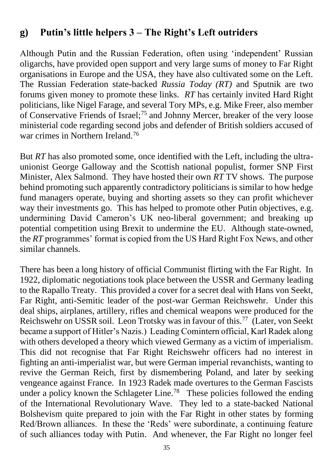# **g) Putin's little helpers 3 – The Right's Left outriders**

Although Putin and the Russian Federation, often using 'independent' Russian oligarchs, have provided open support and very large sums of money to Far Right organisations in Europe and the USA, they have also cultivated some on the Left. The Russian Federation state-backed *Russia Today (RT)* and Sputnik are two forums given money to promote these links. *RT* has certainly invited Hard Right politicians, like Nigel Farage, and several Tory MPs, e.g. Mike Freer, also member of Conservative Friends of Israel;<sup>75</sup> and Johnny Mercer, breaker of the very loose ministerial code regarding second jobs and defender of British soldiers accused of war crimes in Northern Ireland.<sup>76</sup>

But *RT* has also promoted some, once identified with the Left, including the ultraunionist George Galloway and the Scottish national populist, former SNP First Minister, Alex Salmond. They have hosted their own *RT* TV shows. The purpose behind promoting such apparently contradictory politicians is similar to how hedge fund managers operate, buying and shorting assets so they can profit whichever way their investments go. This has helped to promote other Putin objectives, e.g. undermining David Cameron's UK neo-liberal government; and breaking up potential competition using Brexit to undermine the EU. Although state-owned, the *RT* programmes' format is copied from the US Hard Right Fox News, and other similar channels.

There has been a long history of official Communist flirting with the Far Right. In 1922, diplomatic negotiations took place between the USSR and Germany leading to the Rapallo Treaty. This provided a cover for a secret deal with Hans von Seekt, Far Right, anti-Semitic leader of the post-war German Reichswehr. Under this deal ships, airplanes, artillery, rifles and chemical weapons were produced for the Reichswehr on USSR soil. Leon Trotsky was in favour of this.<sup>77</sup> (Later, von Seekt became a support of Hitler's Nazis.) Leading Comintern official, Karl Radek along with others developed a theory which viewed Germany as a victim of imperialism. This did not recognise that Far Right Reichswehr officers had no interest in fighting an anti-imperialist war, but were German imperial revanchists, wanting to revive the German Reich, first by dismembering Poland, and later by seeking vengeance against France. In 1923 Radek made overtures to the German Fascists under a policy known the Schlageter Line.<sup>78</sup> These policies followed the ending of the International Revolutionary Wave. They led to a state-backed National Bolshevism quite prepared to join with the Far Right in other states by forming Red/Brown alliances. In these the 'Reds' were subordinate, a continuing feature of such alliances today with Putin. And whenever, the Far Right no longer feel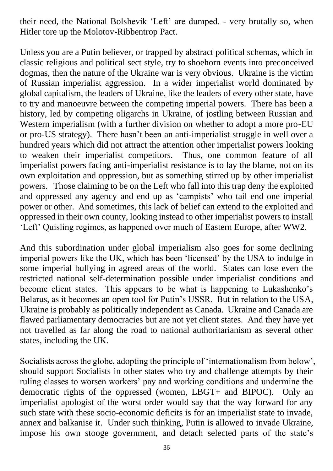their need, the National Bolshevik 'Left' are dumped. - very brutally so, when Hitler tore up the Molotov-Ribbentrop Pact.

Unless you are a Putin believer, or trapped by abstract political schemas, which in classic religious and political sect style, try to shoehorn events into preconceived dogmas, then the nature of the Ukraine war is very obvious. Ukraine is the victim of Russian imperialist aggression. In a wider imperialist world dominated by global capitalism, the leaders of Ukraine, like the leaders of every other state, have to try and manoeuvre between the competing imperial powers. There has been a history, led by competing oligarchs in Ukraine, of jostling between Russian and Western imperialism (with a further division on whether to adopt a more pro-EU or pro-US strategy). There hasn't been an anti-imperialist struggle in well over a hundred years which did not attract the attention other imperialist powers looking to weaken their imperialist competitors. Thus, one common feature of all imperialist powers facing anti-imperialist resistance is to lay the blame, not on its own exploitation and oppression, but as something stirred up by other imperialist powers. Those claiming to be on the Left who fall into this trap deny the exploited and oppressed any agency and end up as 'campists' who tail end one imperial power or other. And sometimes, this lack of belief can extend to the exploited and oppressed in their own county, looking instead to other imperialist powers to install 'Left' Quisling regimes, as happened over much of Eastern Europe, after WW2.

And this subordination under global imperialism also goes for some declining imperial powers like the UK, which has been 'licensed' by the USA to indulge in some imperial bullying in agreed areas of the world. States can lose even the restricted national self-determination possible under imperialist conditions and become client states. This appears to be what is happening to Lukashenko's Belarus, as it becomes an open tool for Putin's USSR. But in relation to the USA, Ukraine is probably as politically independent as Canada. Ukraine and Canada are flawed parliamentary democracies but are not yet client states. And they have yet not travelled as far along the road to national authoritarianism as several other states, including the UK.

Socialists across the globe, adopting the principle of 'internationalism from below', should support Socialists in other states who try and challenge attempts by their ruling classes to worsen workers' pay and working conditions and undermine the democratic rights of the oppressed (women, LBGT+ and BIPOC). Only an imperialist apologist of the worst order would say that the way forward for any such state with these socio-economic deficits is for an imperialist state to invade, annex and balkanise it. Under such thinking, Putin is allowed to invade Ukraine, impose his own stooge government, and detach selected parts of the state's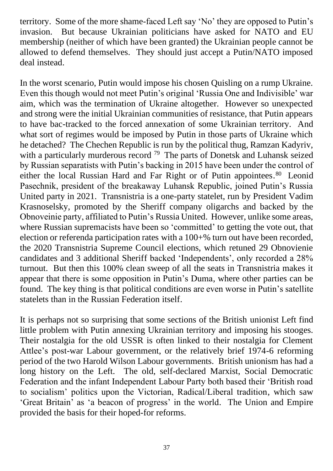territory. Some of the more shame-faced Left say 'No' they are opposed to Putin's invasion. But because Ukrainian politicians have asked for NATO and EU membership (neither of which have been granted) the Ukrainian people cannot be allowed to defend themselves. They should just accept a Putin/NATO imposed deal instead.

In the worst scenario, Putin would impose his chosen Quisling on a rump Ukraine. Even this though would not meet Putin's original 'Russia One and Indivisible' war aim, which was the termination of Ukraine altogether. However so unexpected and strong were the initial Ukrainian communities of resistance, that Putin appears to have bac-tracked to the forced annexation of some Ukrainian territory. And what sort of regimes would be imposed by Putin in those parts of Ukraine which he detached? The Chechen Republic is run by the political thug, Ramzan Kadyriv, with a particularly murderous record  $\frac{79}{9}$  The parts of Donetsk and Luhansk seized by Russian separatists with Putin's backing in 2015 have been under the control of either the local Russian Hard and Far Right or of Putin appointees.<sup>80</sup> Leonid Pasechnik, president of the breakaway Luhansk Republic, joined Putin's Russia United party in 2021. Transnistria is a one-party statelet, run by President Vadim Krasnoselsky, promoted by the Sheriff company oligarchs and backed by the Obnoveinie party, affiliated to Putin's Russia United. However, unlike some areas, where Russian supremacists have been so 'committed' to getting the vote out, that election or referenda participation rates with a 100+% turn out have been recorded, the 2020 Transnistria Supreme Council elections, which retuned 29 Obnovienie candidates and 3 additional Sheriff backed 'Independents', only recorded a 28% turnout. But then this 100% clean sweep of all the seats in Transnistria makes it appear that there is some opposition in Putin's Duma, where other parties can be found. The key thing is that political conditions are even worse in Putin's satellite statelets than in the Russian Federation itself.

It is perhaps not so surprising that some sections of the British unionist Left find little problem with Putin annexing Ukrainian territory and imposing his stooges. Their nostalgia for the old USSR is often linked to their nostalgia for Clement Attlee's post-war Labour government, or the relatively brief 1974-6 reforming period of the two Harold Wilson Labour governments. British unionism has had a long history on the Left. The old, self-declared Marxist, Social Democratic Federation and the infant Independent Labour Party both based their 'British road to socialism' politics upon the Victorian, Radical/Liberal tradition, which saw 'Great Britain' as 'a beacon of progress' in the world. The Union and Empire provided the basis for their hoped-for reforms.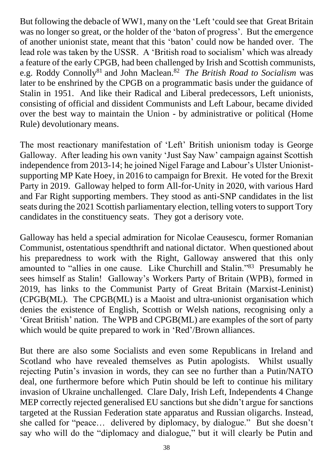But following the debacle of WW1, many on the 'Left 'could see that Great Britain was no longer so great, or the holder of the 'baton of progress'. But the emergence of another unionist state, meant that this 'baton' could now be handed over. The lead role was taken by the USSR. A 'British road to socialism' which was already a feature of the early CPGB, had been challenged by Irish and Scottish communists, e.g. Roddy Connolly<sup>81</sup> and John Maclean.<sup>82</sup> *The British Road to Socialism* was later to be enshrined by the CPGB on a programmatic basis under the guidance of Stalin in 1951. And like their Radical and Liberal predecessors, Left unionists, consisting of official and dissident Communists and Left Labour, became divided over the best way to maintain the Union - by administrative or political (Home Rule) devolutionary means.

The most reactionary manifestation of 'Left' British unionism today is George Galloway. After leading his own vanity 'Just Say Naw' campaign against Scottish independence from 2013-14; he joined Nigel Farage and Labour's Ulster Unionistsupporting MP Kate Hoey, in 2016 to campaign for Brexit. He voted for the Brexit Party in 2019. Galloway helped to form All-for-Unity in 2020, with various Hard and Far Right supporting members. They stood as anti-SNP candidates in the list seats during the 2021 Scottish parliamentary election, telling voters to support Tory candidates in the constituency seats. They got a derisory vote.

Galloway has held a special admiration for Nicolae Ceausescu, former Romanian Communist, ostentatious spendthrift and national dictator. When questioned about his preparedness to work with the Right, Galloway answered that this only amounted to "allies in one cause. Like Churchill and Stalin."<sup>83</sup> Presumably he sees himself as Stalin! Galloway's Workers Party of Britain (WPB), formed in 2019, has links to the Communist Party of Great Britain (Marxist-Leninist) (CPGB(ML). The CPGB(ML) is a Maoist and ultra-unionist organisation which denies the existence of English, Scottish or Welsh nations, recognising only a 'Great British' nation. The WPB and CPGB(ML) are examples of the sort of party which would be quite prepared to work in 'Red'/Brown alliances.

But there are also some Socialists and even some Republicans in Ireland and Scotland who have revealed themselves as Putin apologists. Whilst usually rejecting Putin's invasion in words, they can see no further than a Putin/NATO deal, one furthermore before which Putin should be left to continue his military invasion of Ukraine unchallenged. Clare Daly, Irish Left, Independents 4 Change MEP correctly rejected generalised EU sanctions but she didn't argue for sanctions targeted at the Russian Federation state apparatus and Russian oligarchs. Instead, she called for "peace… delivered by diplomacy, by dialogue." But she doesn't say who will do the "diplomacy and dialogue," but it will clearly be Putin and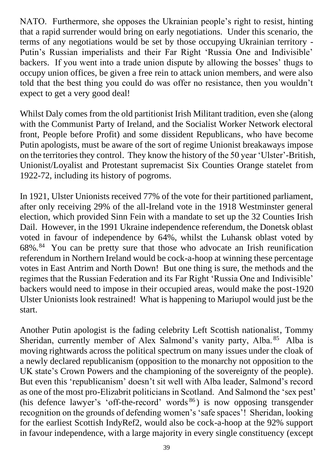NATO. Furthermore, she opposes the Ukrainian people's right to resist, hinting that a rapid surrender would bring on early negotiations. Under this scenario, the terms of any negotiations would be set by those occupying Ukrainian territory - Putin's Russian imperialists and their Far Right 'Russia One and Indivisible' backers. If you went into a trade union dispute by allowing the bosses' thugs to occupy union offices, be given a free rein to attack union members, and were also told that the best thing you could do was offer no resistance, then you wouldn't expect to get a very good deal!

Whilst Daly comes from the old partitionist Irish Militant tradition, even she (along with the Communist Party of Ireland, and the Socialist Worker Network electoral front, People before Profit) and some dissident Republicans, who have become Putin apologists, must be aware of the sort of regime Unionist breakaways impose on the territories they control. They know the history of the 50 year 'Ulster'-British, Unionist/Loyalist and Protestant supremacist Six Counties Orange statelet from 1922-72, including its history of pogroms.

In 1921, Ulster Unionists received 77% of the vote for their partitioned parliament, after only receiving 29% of the all-Ireland vote in the 1918 Westminster general election, which provided Sinn Fein with a mandate to set up the 32 Counties Irish Dail. However, in the 1991 Ukraine independence referendum, the Donetsk oblast voted in favour of independence by 64%, whilst the Luhansk oblast voted by 68%.<sup>84</sup> You can be pretty sure that those who advocate an Irish reunification referendum in Northern Ireland would be cock-a-hoop at winning these percentage votes in East Antrim and North Down! But one thing is sure, the methods and the regimes that the Russian Federation and its Far Right 'Russia One and Indivisible' backers would need to impose in their occupied areas, would make the post-1920 Ulster Unionists look restrained! What is happening to Mariupol would just be the start.

Another Putin apologist is the fading celebrity Left Scottish nationalist, Tommy Sheridan, currently member of Alex Salmond's vanity party, Alba.<sup>85</sup> Alba is moving rightwards across the political spectrum on many issues under the cloak of a newly declared republicanism (opposition to the monarchy not opposition to the UK state's Crown Powers and the championing of the sovereignty of the people). But even this 'republicanism' doesn't sit well with Alba leader, Salmond's record as one of the most pro-Elizabrit politicians in Scotland. And Salmond the 'sex pest' (his defence lawyer's 'off-the-record' words  $86$ ) is now opposing transgender recognition on the grounds of defending women's 'safe spaces'! Sheridan, looking for the earliest Scottish IndyRef2, would also be cock-a-hoop at the 92% support in favour independence, with a large majority in every single constituency (except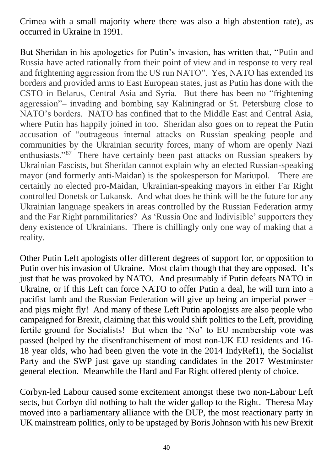Crimea with a small majority where there was also a high abstention rate), as occurred in Ukraine in 1991.

But Sheridan in his apologetics for Putin's invasion, has written that, "Putin and Russia have acted rationally from their point of view and in response to very real and frightening aggression from the US run NATO". Yes, NATO has extended its borders and provided arms to East European states, just as Putin has done with the CSTO in Belarus, Central Asia and Syria. But there has been no "frightening aggression"– invading and bombing say Kaliningrad or St. Petersburg close to NATO's borders. NATO has confined that to the Middle East and Central Asia, where Putin has happily joined in too. Sheridan also goes on to repeat the Putin accusation of "outrageous internal attacks on Russian speaking people and communities by the Ukrainian security forces, many of whom are openly Nazi enthusiasts."<sup>87</sup> There have certainly been past attacks on Russian speakers by Ukrainian Fascists, but Sheridan cannot explain why an elected Russian-speaking mayor (and formerly anti-Maidan) is the spokesperson for Mariupol. There are certainly no elected pro-Maidan, Ukrainian-speaking mayors in either Far Right controlled Donetsk or Lukansk. And what does he think will be the future for any Ukrainian language speakers in areas controlled by the Russian Federation army and the Far Right paramilitaries? As 'Russia One and Indivisible' supporters they deny existence of Ukrainians. There is chillingly only one way of making that a reality.

Other Putin Left apologists offer different degrees of support for, or opposition to Putin over his invasion of Ukraine. Most claim though that they are opposed. It's just that he was provoked by NATO. And presumably if Putin defeats NATO in Ukraine, or if this Left can force NATO to offer Putin a deal, he will turn into a pacifist lamb and the Russian Federation will give up being an imperial power – and pigs might fly! And many of these Left Putin apologists are also people who campaigned for Brexit, claiming that this would shift politics to the Left, providing fertile ground for Socialists! But when the 'No' to EU membership vote was passed (helped by the disenfranchisement of most non-UK EU residents and 16- 18 year olds, who had been given the vote in the 2014 IndyRef1), the Socialist Party and the SWP just gave up standing candidates in the 2017 Westminster general election. Meanwhile the Hard and Far Right offered plenty of choice.

Corbyn-led Labour caused some excitement amongst these two non-Labour Left sects, but Corbyn did nothing to halt the wider gallop to the Right. Theresa May moved into a parliamentary alliance with the DUP, the most reactionary party in UK mainstream politics, only to be upstaged by Boris Johnson with his new Brexit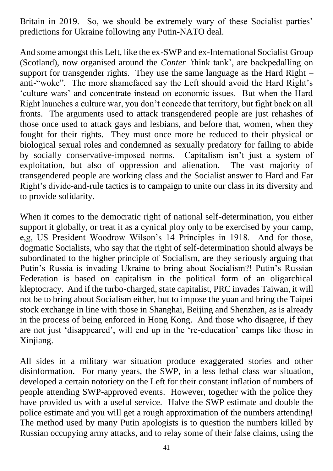Britain in 2019. So, we should be extremely wary of these Socialist parties' predictions for Ukraine following any Putin-NATO deal.

And some amongst this Left, like the ex-SWP and ex-International Socialist Group (Scotland), now organised around the *Conter '*think tank', are backpedalling on support for transgender rights. They use the same language as the Hard Right – anti-"woke". The more shamefaced say the Left should avoid the Hard Right's 'culture wars' and concentrate instead on economic issues. But when the Hard Right launches a culture war, you don't concede that territory, but fight back on all fronts. The arguments used to attack transgendered people are just rehashes of those once used to attack gays and lesbians, and before that, women, when they fought for their rights. They must once more be reduced to their physical or biological sexual roles and condemned as sexually predatory for failing to abide by socially conservative-imposed norms. Capitalism isn't just a system of exploitation, but also of oppression and alienation. The vast majority of transgendered people are working class and the Socialist answer to Hard and Far Right's divide-and-rule tactics is to campaign to unite our class in its diversity and to provide solidarity.

When it comes to the democratic right of national self-determination, you either support it globally, or treat it as a cynical ploy only to be exercised by your camp, e,g, US President Woodrow Wilson's 14 Principles in 1918. And for those, dogmatic Socialists, who say that the right of self-determination should always be subordinated to the higher principle of Socialism, are they seriously arguing that Putin's Russia is invading Ukraine to bring about Socialism?! Putin's Russian Federation is based on capitalism in the political form of an oligarchical kleptocracy. And if the turbo-charged, state capitalist, PRC invades Taiwan, it will not be to bring about Socialism either, but to impose the yuan and bring the Taipei stock exchange in line with those in Shanghai, Beijing and Shenzhen, as is already in the process of being enforced in Hong Kong. And those who disagree, if they are not just 'disappeared', will end up in the 're-education' camps like those in Xinjiang.

All sides in a military war situation produce exaggerated stories and other disinformation. For many years, the SWP, in a less lethal class war situation, developed a certain notoriety on the Left for their constant inflation of numbers of people attending SWP-approved events. However, together with the police they have provided us with a useful service. Halve the SWP estimate and double the police estimate and you will get a rough approximation of the numbers attending! The method used by many Putin apologists is to question the numbers killed by Russian occupying army attacks, and to relay some of their false claims, using the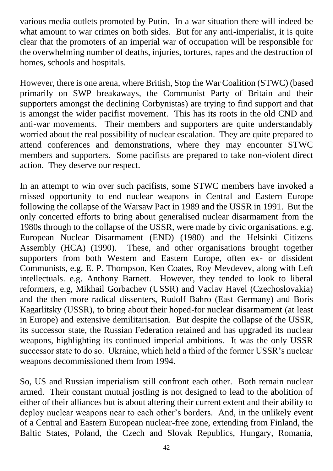various media outlets promoted by Putin. In a war situation there will indeed be what amount to war crimes on both sides. But for any anti-imperialist, it is quite clear that the promoters of an imperial war of occupation will be responsible for the overwhelming number of deaths, injuries, tortures, rapes and the destruction of homes, schools and hospitals.

However, there is one arena, where British, Stop the War Coalition (STWC) (based primarily on SWP breakaways, the Communist Party of Britain and their supporters amongst the declining Corbynistas) are trying to find support and that is amongst the wider pacifist movement. This has its roots in the old CND and anti-war movements. Their members and supporters are quite understandably worried about the real possibility of nuclear escalation. They are quite prepared to attend conferences and demonstrations, where they may encounter STWC members and supporters. Some pacifists are prepared to take non-violent direct action. They deserve our respect.

In an attempt to win over such pacifists, some STWC members have invoked a missed opportunity to end nuclear weapons in Central and Eastern Europe following the collapse of the Warsaw Pact in 1989 and the USSR in 1991. But the only concerted efforts to bring about generalised nuclear disarmament from the 1980s through to the collapse of the USSR, were made by civic organisations. e.g. European Nuclear Disarmament (END) (1980) and the Helsinki Citizens Assembly (HCA) (1990). These, and other organisations brought together supporters from both Western and Eastern Europe, often ex- or dissident Communists, e.g. E. P. Thompson, Ken Coates, Roy Mevdevev, along with Left intellectuals. e.g. Anthony Barnett. However, they tended to look to liberal reformers, e.g, Mikhail Gorbachev (USSR) and Vaclav Havel (Czechoslovakia) and the then more radical dissenters, Rudolf Bahro (East Germany) and Boris Kagarlitsky (USSR), to bring about their hoped-for nuclear disarmament (at least in Europe) and extensive demilitarisation. But despite the collapse of the USSR, its successor state, the Russian Federation retained and has upgraded its nuclear weapons, highlighting its continued imperial ambitions. It was the only USSR successor state to do so. Ukraine, which held a third of the former USSR's nuclear weapons decommissioned them from 1994.

So, US and Russian imperialism still confront each other. Both remain nuclear armed. Their constant mutual jostling is not designed to lead to the abolition of either of their alliances but is about altering their current extent and their ability to deploy nuclear weapons near to each other's borders. And, in the unlikely event of a Central and Eastern European nuclear-free zone, extending from Finland, the Baltic States, Poland, the Czech and Slovak Republics, Hungary, Romania,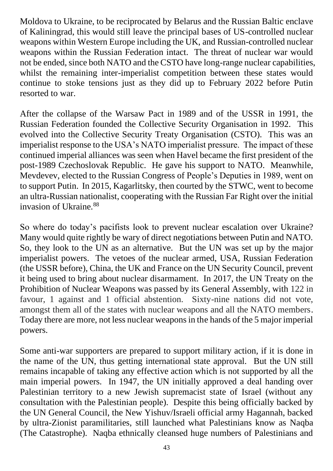Moldova to Ukraine, to be reciprocated by Belarus and the Russian Baltic enclave of Kaliningrad, this would still leave the principal bases of US-controlled nuclear weapons within Western Europe including the UK, and Russian-controlled nuclear weapons within the Russian Federation intact. The threat of nuclear war would not be ended, since both NATO and the CSTO have long-range nuclear capabilities, whilst the remaining inter-imperialist competition between these states would continue to stoke tensions just as they did up to February 2022 before Putin resorted to war.

After the collapse of the Warsaw Pact in 1989 and of the USSR in 1991, the Russian Federation founded the Collective Security Organisation in 1992. This evolved into the Collective Security Treaty Organisation (CSTO). This was an imperialist response to the USA's NATO imperialist pressure. The impact of these continued imperial alliances was seen when Havel became the first president of the post-1989 Czechoslovak Republic. He gave his support to NATO. Meanwhile, Mevdevev, elected to the Russian Congress of People's Deputies in 1989, went on to support Putin. In 2015, Kagarlitsky, then courted by the STWC, went to become an ultra-Russian nationalist, cooperating with the Russian Far Right over the initial invasion of Ukraine.<sup>88</sup>

So where do today's pacifists look to prevent nuclear escalation over Ukraine? Many would quite rightly be wary of direct negotiations between Putin and NATO. So, they look to the UN as an alternative. But the UN was set up by the major imperialist powers. The vetoes of the nuclear armed, USA, Russian Federation (the USSR before), China, the UK and France on the UN Security Council, prevent it being used to bring about nuclear disarmament. In 2017, the UN Treaty on the Prohibition of Nuclear Weapons was passed by its General Assembly, with 122 in favour, 1 against and 1 official abstention. Sixty-nine nations did not vote, amongst them all of the states with nuclear weapons and all the NATO members. Today there are more, not less nuclear weapons in the hands of the 5 major imperial powers.

Some anti-war supporters are prepared to support military action, if it is done in the name of the UN, thus getting international state approval. But the UN still remains incapable of taking any effective action which is not supported by all the main imperial powers. In 1947, the UN initially approved a deal handing over Palestinian territory to a new Jewish supremacist state of Israel (without any consultation with the Palestinian people). Despite this being officially backed by the UN General Council, the New Yishuv/Israeli official army Hagannah, backed by ultra-Zionist paramilitaries, still launched what Palestinians know as Naqba (The Catastrophe). Naqba ethnically cleansed huge numbers of Palestinians and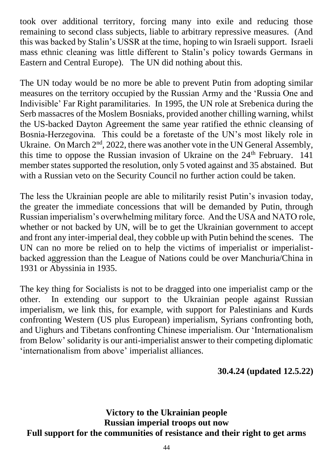took over additional territory, forcing many into exile and reducing those remaining to second class subjects, liable to arbitrary repressive measures. (And this was backed by Stalin's USSR at the time, hoping to win Israeli support. Israeli mass ethnic cleaning was little different to Stalin's policy towards Germans in Eastern and Central Europe). The UN did nothing about this.

The UN today would be no more be able to prevent Putin from adopting similar measures on the territory occupied by the Russian Army and the 'Russia One and Indivisible' Far Right paramilitaries. In 1995, the UN role at Srebenica during the Serb massacres of the Moslem Bosniaks, provided another chilling warning, whilst the US-backed Dayton Agreement the same year ratified the ethnic cleansing of Bosnia-Herzegovina. This could be a foretaste of the UN's most likely role in Ukraine. On March  $2<sup>nd</sup>$ , 2022, there was another vote in the UN General Assembly, this time to oppose the Russian invasion of Ukraine on the  $24<sup>th</sup>$  February. 141 member states supported the resolution, only 5 voted against and 35 abstained. But with a Russian veto on the Security Council no further action could be taken.

The less the Ukrainian people are able to militarily resist Putin's invasion today, the greater the immediate concessions that will be demanded by Putin, through Russian imperialism's overwhelming military force. And the USA and NATO role, whether or not backed by UN, will be to get the Ukrainian government to accept and front any inter-imperial deal, they cobble up with Putin behind the scenes. The UN can no more be relied on to help the victims of imperialist or imperialistbacked aggression than the League of Nations could be over Manchuria/China in 1931 or Abyssinia in 1935.

The key thing for Socialists is not to be dragged into one imperialist camp or the other. In extending our support to the Ukrainian people against Russian imperialism, we link this, for example, with support for Palestinians and Kurds confronting Western (US plus European) imperialism, Syrians confronting both, and Uighurs and Tibetans confronting Chinese imperialism. Our 'Internationalism from Below' solidarity is our anti-imperialist answer to their competing diplomatic 'internationalism from above' imperialist alliances.

#### **30.4.24 (updated 12.5.22)**

**Victory to the Ukrainian people Russian imperial troops out now Full support for the communities of resistance and their right to get arms**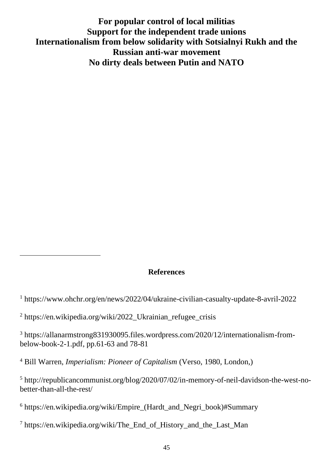#### **For popular control of local militias Support for the independent trade unions Internationalism from below solidarity with Sotsialnyi Rukh and the Russian anti-war movement No dirty deals between Putin and NATO**

#### **References**

<sup>1</sup> https://www.ohchr.org/en/news/2022/04/ukraine-civilian-casualty-update-8-avril-2022

 $2$  https://en.wikipedia.org/wiki/2022\_Ukrainian\_refugee\_crisis

<sup>3</sup> https://allanarmstrong831930095.files.wordpress.com/2020/12/internationalism-frombelow-book-2-1.pdf, pp.61-63 and 78-81

<sup>4</sup> Bill Warren, *Imperialism: Pioneer of Capitalism* (Verso, 1980, London,)

<sup>5</sup> http://republicancommunist.org/blog/2020/07/02/in-memory-of-neil-davidson-the-west-nobetter-than-all-the-rest/

<sup>6</sup> https://en.wikipedia.org/wiki/Empire\_(Hardt\_and\_Negri\_book)#Summary

<sup>7</sup> https://en.wikipedia.org/wiki/The End of History and the Last Man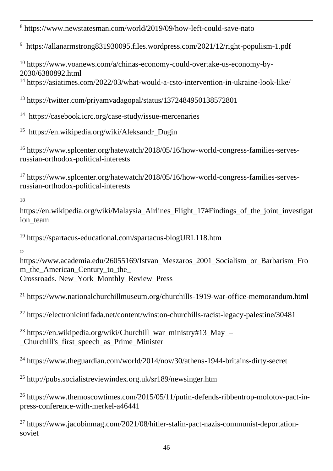<sup>8</sup> https://www.newstatesman.com/world/2019/09/how-left-could-save-nato

<sup>9</sup> https://allanarmstrong831930095.files.wordpress.com/2021/12/right-populism-1.pdf

<sup>10</sup> https://www.voanews.com/a/chinas-economy-could-overtake-us-economy-by-2030/6380892.html

<sup>14</sup> https://asiatimes.com/2022/03/what-would-a-csto-intervention-in-ukraine-look-like/

<sup>13</sup> https://twitter.com/priyamvadagopal/status/1372484950138572801

<sup>14</sup> <https://casebook.icrc.org/case-study/issue-mercenaries>

15 https://en.wikipedia.org/wiki/Aleksandr\_Dugin

<sup>16</sup> https://www.splcenter.org/hatewatch/2018/05/16/how-world-congress-families-servesrussian-orthodox-political-interests

<sup>17</sup> https://www.splcenter.org/hatewatch/2018/05/16/how-world-congress-families-servesrussian-orthodox-political-interests

18

https://en.wikipedia.org/wiki/Malaysia Airlines Flight 17#Findings of the joint investigat ion\_team

<sup>19</sup> https://spartacus-educational.com/spartacus-blogURL118.htm

20

https://www.academia.edu/26055169/Istvan\_Meszaros\_2001\_Socialism\_or\_Barbarism\_Fro m\_the\_American\_Century\_to\_the\_ Crossroads. New\_York\_Monthly\_Review\_Press

<sup>21</sup> https://www.nationalchurchillmuseum.org/churchills-1919-war-office-memorandum.html

<sup>22</sup> https://electronicintifada.net/content/winston-churchills-racist-legacy-palestine/30481

<sup>23</sup> https://en.wikipedia.org/wiki/Churchill\_war\_ministry#13\_May\_– \_Churchill's\_first\_speech\_as\_Prime\_Minister

<sup>24</sup> https://www.theguardian.com/world/2014/nov/30/athens-1944-britains-dirty-secret

<sup>25</sup> http://pubs.socialistreviewindex.org.uk/sr189/newsinger.htm

<sup>26</sup> https://www.themoscowtimes.com/2015/05/11/putin-defends-ribbentrop-molotov-pact-inpress-conference-with-merkel-a46441

<sup>27</sup> https://www.jacobinmag.com/2021/08/hitler-stalin-pact-nazis-communist-deportationsoviet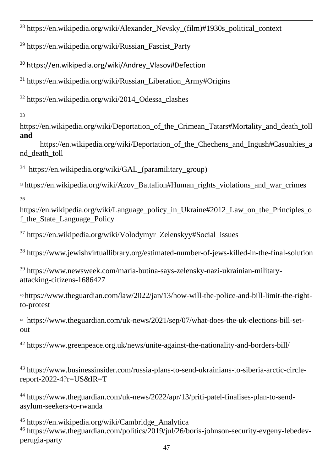<sup>28</sup> https://en.wikipedia.org/wiki/Alexander Nevsky (film)#1930s political context

<sup>29</sup> https://en.wikipedia.org/wiki/Russian\_Fascist\_Party

<sup>30</sup> https://en.wikipedia.org/wiki/Andrey\_Vlasov#Defection

<sup>31</sup> https://en.wikipedia.org/wiki/Russian\_Liberation\_Army#Origins

<sup>32</sup> https://en.wikipedia.org/wiki/2014\_Odessa\_clashes

33

https://en.wikipedia.org/wiki/Deportation of the Crimean Tatars#Mortality and death toll **and**

https://en.wikipedia.org/wiki/Deportation of the Chechens and Ingush#Casualties a nd\_death\_toll

34 https://en.wikipedia.org/wiki/GAL\_(paramilitary\_group)

<sup>35</sup> https://en.wikipedia.org/wiki/Azov\_Battalion#Human\_rights\_violations\_and\_war\_crimes 36

https://en.wikipedia.org/wiki/Language\_policy\_in\_Ukraine#2012\_Law\_on\_the\_Principles\_o f\_the\_State\_Language\_Policy

<sup>37</sup> https://en.wikipedia.org/wiki/Volodymyr\_Zelenskyy#Social\_issues

<sup>38</sup> https://www.jewishvirtuallibrary.org/estimated-number-of-jews-killed-in-the-final-solution

<sup>39</sup> https://www.newsweek.com/maria-butina-says-zelensky-nazi-ukrainian-militaryattacking-citizens-1686427

<sup>40</sup> https://www.theguardian.com/law/2022/jan/13/how-will-the-police-and-bill-limit-the-rightto-protest

<sup>41</sup> https://www.theguardian.com/uk-news/2021/sep/07/what-does-the-uk-elections-bill-setout

<sup>42</sup> https://www.greenpeace.org.uk/news/unite-against-the-nationality-and-borders-bill/

<sup>43</sup> https://www.businessinsider.com/russia-plans-to-send-ukrainians-to-siberia-arctic-circlereport-2022-4?r=US&IR=T

<sup>44</sup> https://www.theguardian.com/uk-news/2022/apr/13/priti-patel-finalises-plan-to-sendasylum-seekers-to-rwanda

<sup>45</sup> https://en.wikipedia.org/wiki/Cambridge\_Analytica <sup>46</sup> https://www.theguardian.com/politics/2019/jul/26/boris-johnson-security-evgeny-lebedevperugia-party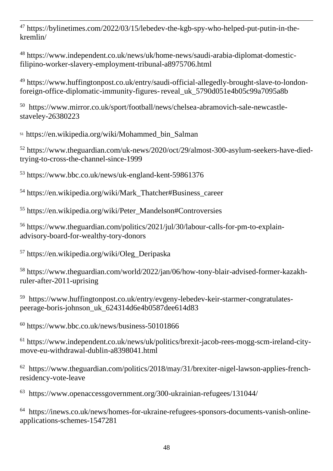<sup>47</sup> https://bylinetimes.com/2022/03/15/lebedev-the-kgb-spy-who-helped-put-putin-in-thekremlin/

<sup>48</sup> https://www.independent.co.uk/news/uk/home-news/saudi-arabia-diplomat-domesticfilipino-worker-slavery-employment-tribunal-a8975706.html

<sup>49</sup> https://www.huffingtonpost.co.uk/entry/saudi-official-allegedly-brought-slave-to-londonforeign-office-diplomatic-immunity-figures-reveal\_uk\_5790d051e4b05c99a7095a8b

50 https://www.mirror.co.uk/sport/football/news/chelsea-abramovich-sale-newcastlestaveley-26380223

51 https://en.wikipedia.org/wiki/Mohammed\_bin\_Salman

<sup>52</sup> https://www.theguardian.com/uk-news/2020/oct/29/almost-300-asylum-seekers-have-diedtrying-to-cross-the-channel-since-1999

<sup>53</sup> https://www.bbc.co.uk/news/uk-england-kent-59861376

<sup>54</sup> https://en.wikipedia.org/wiki/Mark\_Thatcher#Business\_career

<sup>55</sup> https://en.wikipedia.org/wiki/Peter\_Mandelson#Controversies

<sup>56</sup> https://www.theguardian.com/politics/2021/jul/30/labour-calls-for-pm-to-explainadvisory-board-for-wealthy-tory-donors

<sup>57</sup> https://en.wikipedia.org/wiki/Oleg\_Deripaska

<sup>58</sup> https://www.theguardian.com/world/2022/jan/06/how-tony-blair-advised-former-kazakhruler-after-2011-uprising

59 https://www.huffingtonpost.co.uk/entry/evgeny-lebedev-keir-starmer-congratulatespeerage-boris-johnson\_uk\_624314d6e4b0587dee614d83

<sup>60</sup> https://www.bbc.co.uk/news/business-50101866

<sup>61</sup> https://www.independent.co.uk/news/uk/politics/brexit-jacob-rees-mogg-scm-ireland-citymove-eu-withdrawal-dublin-a8398041.html

62 https://www.theguardian.com/politics/2018/may/31/brexiter-nigel-lawson-applies-frenchresidency-vote-leave

63 https://www.openaccessgovernment.org/300-ukrainian-refugees/131044/

64 https://inews.co.uk/news/homes-for-ukraine-refugees-sponsors-documents-vanish-onlineapplications-schemes-1547281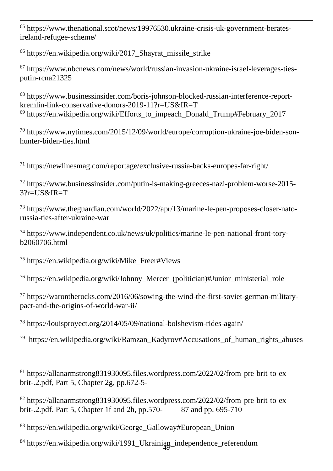https://www.thenational.scot/news/19976530.ukraine-crisis-uk-government-beratesireland-refugee-scheme/

https://en.wikipedia.org/wiki/2017 Shayrat missile strike

 https://www.nbcnews.com/news/world/russian-invasion-ukraine-israel-leverages-tiesputin-rcna21325

 https://www.businessinsider.com/boris-johnson-blocked-russian-interference-reportkremlin-link-conservative-donors-2019-11?r=US&IR=T https://en.wikipedia.org/wiki/Efforts to impeach Donald Trump#February 2017

 https://www.nytimes.com/2015/12/09/world/europe/corruption-ukraine-joe-biden-sonhunter-biden-ties.html

https://newlinesmag.com/reportage/exclusive-russia-backs-europes-far-right/

 https://www.businessinsider.com/putin-is-making-greeces-nazi-problem-worse-2015- 3?r=US&IR=T

 https://www.theguardian.com/world/2022/apr/13/marine-le-pen-proposes-closer-natorussia-ties-after-ukraine-war

 https://www.independent.co.uk/news/uk/politics/marine-le-pen-national-front-toryb2060706.html

https://en.wikipedia.org/wiki/Mike\_Freer#Views

https://en.wikipedia.org/wiki/Johnny\_Mercer\_(politician)#Junior\_ministerial\_role

 https://warontherocks.com/2016/06/sowing-the-wind-the-first-soviet-german-militarypact-and-the-origins-of-world-war-ii/

https://louisproyect.org/2014/05/09/national-bolshevism-rides-again/

https://en.wikipedia.org/wiki/Ramzan\_Kadyrov#Accusations\_of\_human\_rights\_abuses

 https://allanarmstrong831930095.files.wordpress.com/2022/02/from-pre-brit-to-exbrit-.2.pdf, Part 5, Chapter 2g, pp.672-5-

 https://allanarmstrong831930095.files.wordpress.com/2022/02/from-pre-brit-to-exbrit-.2.pdf. Part 5, Chapter 1f and 2h, pp.570- 87 and pp. 695-710

https://en.wikipedia.org/wiki/George\_Galloway#European\_Union

<sup>84</sup> https://en.wikipedia.org/wiki/1991\_Ukrainian\_independence\_referendum